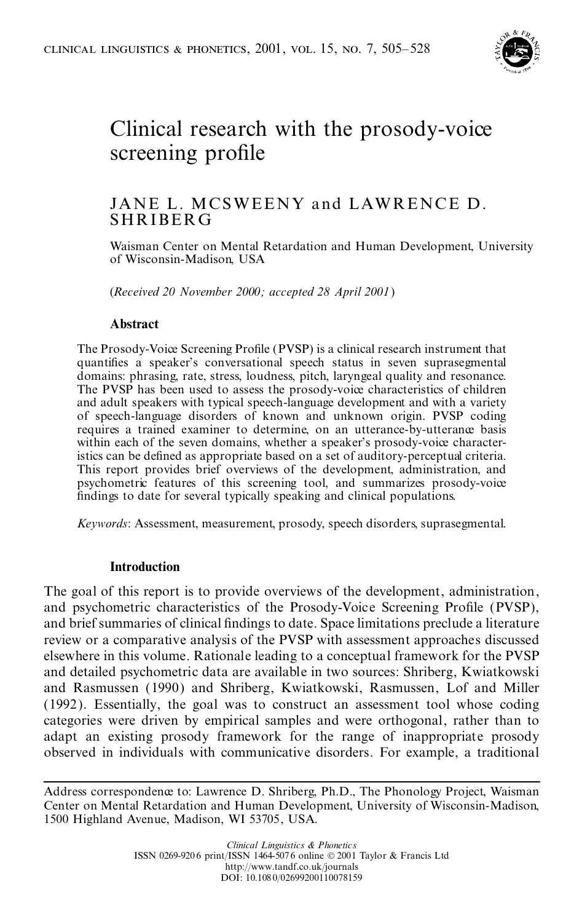

## Clinical research with the prosody-voice screening profile

# JANE L. MCSWEENY and LAWRENCE D.<br>SHRIBERG

Waisman Center on Mental Retardation and Human Development, University of Wisconsin-Madison, USA

(*Received 20 November 2000; accepted 28 April 2001*)

## **Abstract**

The Prosody-Voice Screening Profile (PVSP) is a clinical research instrument that quantifies a speaker's conversational speech status in seven suprasegmental domains: phrasing, rate, stress, loudness, pitch, laryngeal quality and resonance. The PVSP has been used to assess the prosody-voice characteristics of children and adult speakers with typical speech-language development and with a variety of speech-language disorders of known and unknown origin. PVSP coding requires a trained examiner to determine, on an utterance-by-utterance basis within each of the seven domains, whether a speaker's prosody-voice characteristics can be defined as appropriate based on a set of auditory-perceptual criteria. This report provides brief overviews of the development, administration, and psychometric features of this screening tool, and summarizes prosody-voice findings to date for several typically speaking and clinical populations.

*Keywords*: Assessment, measurement, prosody, speech disorders, suprasegmental.

## **Introduction**

The goal of this report is to provide overviews of the development, administration, and psychometric characteristics of the Prosody-Voice Screening Profile (PVSP), and brief summaries of clinical findings to date. Space limitations preclude a literature review or a comparative analysis of the PVSP with assessment approaches discussed elsewhere in this volume. Rationale leading to a conceptual framework for the PVSP and detailed psychometric data are available in two sources: Shriberg, Kwiatkowski and Rasmussen (1990) and Shriberg, Kwiatkowski, Rasmussen, Lof and Miller (1992). Essentially, the goal was to construct an assessment tool whose coding categories were driven by empirical samples and were orthogonal, rather than to adapt an existing prosody framework for the range of inappropriate prosody observed in individuals with communicative disorders. For example, a traditional

Address correspondence to: Lawrence D. Shriberg, Ph.D., The Phonology Project, Waisman Center on Mental Retardation and Human Development, University of Wisconsin-Madison, 1500 Highland Avenue, Madison, WI 53705, USA.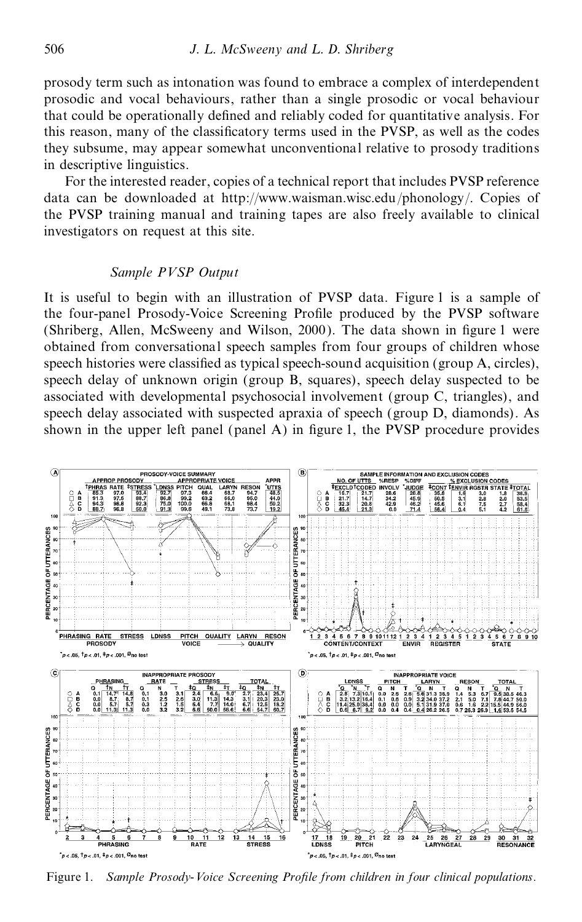prosody term such as intonation was found to embrace a complex of interdependent prosodic and vocal behaviours, rather than a single prosodic or vocal behaviour that could be operationally defined and reliably coded for quantitative analysis. For this reason, many of the classificatory terms used in the PVSP, as well as the codes they subsume, may appear somewhat unconventional relative to prosody traditions in descriptive linguistics.

For the interested reader, copies of a technical report that includes PVSP reference data can be downloaded at http://www.waisman.wisc.edu/phonology/. Copies of the PVSP training manual and training tapes are also freely available to clinical investigators on request at this site.

## *Sample PVSP Output*

It is useful to begin with an illustration of PVSP data. Figure 1 is a sample of the four-panel Prosody-Voice Screening Profile produced by the PVSP software (Shriberg, Allen, McSweeny and Wilson, 2000). The data shown in figure 1 were obtained from conversational speech samples from four groups of children whose speech histories were classified as typical speech-sound acquisition (group A, circles), speech delay of unknown origin (group B, squares), speech delay suspected to be associated with developmental psychosocial involvement (group C, triangles), and speech delay associated with suspected apraxia of speech (group D, diamonds). As shown in the upper left panel (panel  $A$ ) in figure 1, the PVSP procedure provides



Figure 1. *Sample Prosody-Voice Screening ProWle from children in four clinical populations.*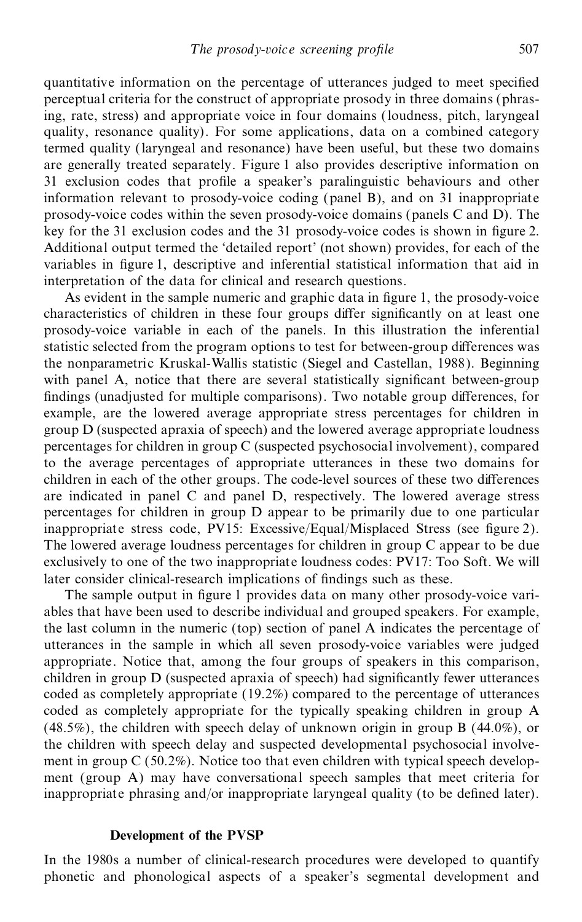quantitative information on the percentage of utterances judged to meet specified perceptual criteria for the construct of appropriate prosody in three domains (phrasing, rate, stress) and appropriate voice in four domains (loudness, pitch, laryngeal quality, resonance quality). For some applications, data on a combined category termed quality (laryngeal and resonance) have been useful, but these two domains are generally treated separately. Figure 1 also provides descriptive information on 31 exclusion codes that profile a speaker's paralinguistic behaviours and other information relevant to prosody-voice coding (panel B), and on 31 inappropriate prosody-voice codes within the seven prosody-voice domains (panels C and D). The key for the 31 exclusion codes and the 31 prosody-voice codes is shown in figure 2. Additional output termed the `detailed report' (not shown) provides, for each of the variables in figure 1, descriptive and inferential statistical information that aid in interpretation of the data for clinical and research questions.

As evident in the sample numeric and graphic data in figure 1, the prosody-voice characteristics of children in these four groups differ significantly on at least one prosody-voice variable in each of the panels. In this illustration the inferential statistic selected from the program options to test for between-group differences was the nonparametric Kruskal-Wallis statistic (Siegel and Castellan, 1988). Beginning with panel A, notice that there are several statistically significant between-group findings (unadjusted for multiple comparisons). Two notable group differences, for example, are the lowered average appropriate stress percentages for children in group D (suspected apraxia of speech) and the lowered average appropriate loudness percentages for children in group C (suspected psychosocial involvement), compared to the average percentages of appropriate utterances in these two domains for children in each of the other groups. The code-level sources of these two differences are indicated in panel C and panel D, respectively. The lowered average stress percentages for children in group D appear to be primarily due to one particular inappropriate stress code, PV15: Excessive/Equal/Misplaced Stress (see figure 2). The lowered average loudness percentages for children in group C appear to be due exclusively to one of the two inappropriate loudness codes: PV17: Too Soft. We will later consider clinical-research implications of findings such as these.

The sample output in figure 1 provides data on many other prosody-voice variables that have been used to describe individual and grouped speakers. For example, the last column in the numeric (top) section of panel A indicates the percentage of utterances in the sample in which all seven prosody-voice variables were judged appropriate. Notice that, among the four groups of speakers in this comparison, children in group D (suspected apraxia of speech) had significantly fewer utterances coded as completely appropriate (19.2%) compared to the percentage of utterances coded as completely appropriate for the typically speaking children in group A (48.5%), the children with speech delay of unknown origin in group B (44.0%), or the children with speech delay and suspected developmental psychosocial involve ment in group C (50.2%). Notice too that even children with typical speech develop ment (group A) may have conversational speech samples that meet criteria for inappropriate phrasing and/or inappropriate laryngeal quality (to be defined later).

## **Development of the PVSP**

In the 1980s a number of clinical-research procedures were developed to quantify phonetic and phonological aspects of a speaker's segmental development and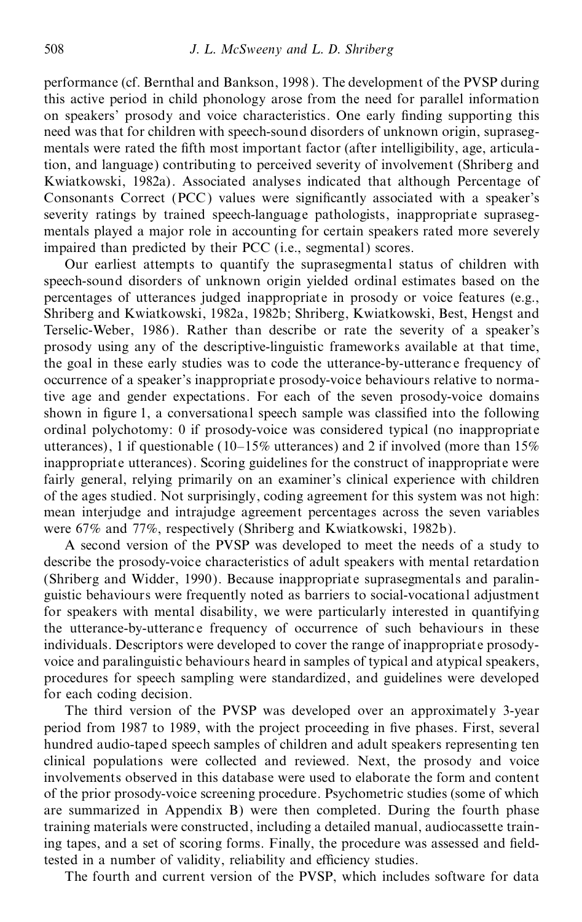performance (cf. Bernthal and Bankson, 1998). The development of the PVSP during this active period in child phonology arose from the need for parallel information on speakers' prosody and voice characteristics. One early finding supporting this need was that for children with speech-sound disorders of unknown origin, supraseg mentals were rated the fifth most important factor (after intelligibility, age, articulation, and language) contributing to perceived severity of involvement (Shriberg and Kwiatkowski, 1982a). Associated analyses indicated that although Percentage of Consonants Correct (PCC) values were significantly associated with a speaker's severity ratings by trained speech-language pathologists, inappropriate supraseg mentals played a major role in accounting for certain speakers rated more severely impaired than predicted by their PCC (i.e., segmental) scores.

Our earliest attempts to quantify the suprasegmental status of children with speech-sound disorders of unknown origin yielded ordinal estimates based on the percentages of utterances judged inappropriate in prosody or voice features (e.g., Shriberg and Kwiatkowski, 1982a, 1982b; Shriberg, Kwiatkowski, Best, Hengst and Terselic-Weber, 1986). Rather than describe or rate the severity of a speaker's prosody using any of the descriptive-linguistic frameworks available at that time, the goal in these early studies was to code the utterance-by-utteranc e frequency of occurrence of a speaker's inappropriate prosody-voice behaviours relative to normative age and gender expectations. For each of the seven prosody-voice domains shown in figure 1, a conversational speech sample was classified into the following ordinal polychotomy: 0 if prosody-voice was considered typical (no inappropriate utterances), 1 if questionable (10–15% utterances) and 2 if involved (more than 15% inappropriate utterances). Scoring guidelines for the construct of inappropriate were fairly general, relying primarily on an examiner's clinical experience with children of the ages studied. Not surprisingly, coding agreement for this system was not high: mean interjudge and intrajudge agreement percentages across the seven variables were 67% and 77%, respectively (Shriberg and Kwiatkowski, 1982b).

A second version of the PVSP was developed to meet the needs of a study to describe the prosody-voice characteristics of adult speakers with mental retardation (Shriberg and Widder, 1990). Because inappropriate suprasegmentals and paralin guistic behaviours were frequently noted as barriers to social-vocational adjustment for speakers with mental disability, we were particularly interested in quantifying the utterance-by-utteranc e frequency of occurrence of such behaviours in these individuals. Descriptors were developed to cover the range of inappropriate prosody voice and paralinguistic behaviours heard in samples of typical and atypical speakers, procedures for speech sampling were standardized, and guidelines were developed for each coding decision.

The third version of the PVSP was developed over an approximately 3-year period from 1987 to 1989, with the project proceeding in five phases. First, several hundred audio-taped speech samples of children and adult speakers representing ten clinical populations were collected and reviewed. Next, the prosody and voice involvements observed in this database were used to elaborate the form and content of the prior prosody-voice screening procedure. Psychometric studies (some of which are summarized in Appendix B) were then completed. During the fourth phase training materials were constructed, including a detailed manual, audiocassette training tapes, and a set of scoring forms. Finally, the procedure was assessed and fieldtested in a number of validity, reliability and efficiency studies.

The fourth and current version of the PVSP, which includes software for data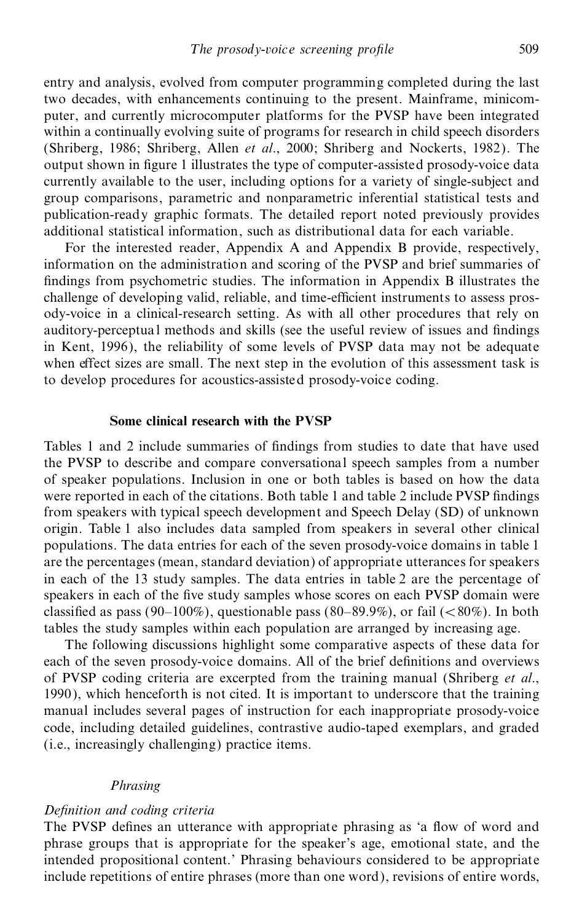entry and analysis, evolved from computer programming completed during the last two decades, with enhancements continuing to the present. Mainframe, minicom puter, and currently microcomputer platforms for the PVSP have been integrated within a continually evolving suite of programs for research in child speech disorders (Shriberg, 1986; Shriberg, Allen *et al*., 2000; Shriberg and Nockerts, 1982). The output shown in figure 1 illustrates the type of computer-assisted prosody-voice data currently available to the user, including options for a variety of single-subject and group comparisons, parametric and nonparametric inferential statistical tests and publication-ready graphic formats. The detailed report noted previously provides additional statistical information, such as distributional data for each variable.

For the interested reader, Appendix A and Appendix B provide, respectively, information on the administration and scoring of the PVSP and brief summaries of findings from psychometric studies. The information in Appendix B illustrates the challenge of developing valid, reliable, and time-efficient instruments to assess prosody-voice in a clinical-research setting. As with all other procedures that rely on auditory-perceptual methods and skills (see the useful review of issues and findings in Kent, 1996), the reliability of some levels of PVSP data may not be adequate when effect sizes are small. The next step in the evolution of this assessment task is to develop procedures for acoustics-assisted prosody-voice coding.

### **Some clinical research with the PVSP**

Tables 1 and 2 include summaries of findings from studies to date that have used the PVSP to describe and compare conversational speech samples from a number of speaker populations. Inclusion in one or both tables is based on how the data were reported in each of the citations. Both table 1 and table 2 include PVSP findings from speakers with typical speech development and Speech Delay (SD) of unknown origin. Table 1 also includes data sampled from speakers in several other clinical populations. The data entries for each of the seven prosody-voice domains in table 1 are the percentages (mean, standard deviation) of appropriate utterances for speakers in each of the 13 study samples. The data entries in table 2 are the percentage of speakers in each of the five study samples whose scores on each PVSP domain were classified as pass (90–100%), questionable pass (80–89.9%), or fail ( $\lt$ 80%). In both tables the study samples within each population are arranged by increasing age.

The following discussions highlight some comparative aspects of these data for each of the seven prosody-voice domains. All of the brief definitions and overviews of PVSP coding criteria are excerpted from the training manual (Shriberg *et al*., 1990), which henceforth is not cited. It is important to underscore that the training manual includes several pages of instruction for each inappropriate prosody-voice code, including detailed guidelines, contrastive audio-taped exemplars, and graded (i.e., increasingly challenging) practice items.

## *Phrasing*

#### *Definition and coding criteria*

The PVSP defines an utterance with appropriate phrasing as 'a flow of word and phrase groups that is appropriate for the speaker's age, emotional state, and the intended propositional content.' Phrasing behaviours considered to be appropriate include repetitions of entire phrases (more than one word), revisions of entire words,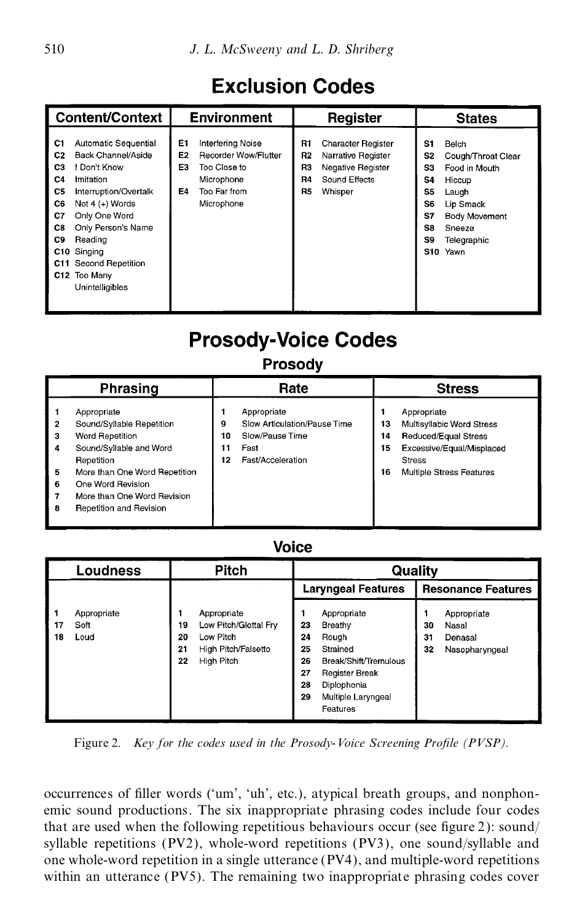## **Exclusion Codes**

|                                                                                    | <b>Content/Context</b>                                                                                                                                                                                                                     |                      | <b>Environment</b>                                                                                    |                                          | Register                                                                                         |                                                           | <b>States</b>                                                                                                                  |
|------------------------------------------------------------------------------------|--------------------------------------------------------------------------------------------------------------------------------------------------------------------------------------------------------------------------------------------|----------------------|-------------------------------------------------------------------------------------------------------|------------------------------------------|--------------------------------------------------------------------------------------------------|-----------------------------------------------------------|--------------------------------------------------------------------------------------------------------------------------------|
| C1<br>C <sub>2</sub><br>C <sub>3</sub><br>C4<br>C5<br>C6<br>C7<br>C8<br>C9<br>C11. | Automatic Sequential<br>Back Channel/Aside<br>Don't Know<br>Imitation<br>Interruption/Overtalk<br>Not 4 (+) Words<br>Only One Word<br>Only Person's Name<br>Reading<br>C10 Singing<br>Second Repetition<br>C12 Too Many<br>Unintelligibles | E1<br>E2<br>E3<br>E4 | Interfering Noise<br>Recorder Wow/Flutter<br>Too Close to<br>Microphone<br>Too Far from<br>Microphone | R1<br><b>R2</b><br>R3<br>R4<br><b>R5</b> | <b>Character Register</b><br>Narrative Register<br>Negative Register<br>Sound Effects<br>Whisper | S1<br>S2<br>S3<br>S4<br>S5<br>S6<br>S7<br>S8<br>S9<br>S10 | Belch<br>Cough/Throat Clear<br>Food in Mouth<br>Hiccup<br>Laugh<br>Lip Smack<br>Body Movement<br>Sneeze<br>Telegraphic<br>Yawn |

## **Prosody-Voice Codes**

## Prosodv

|                            | Phrasing                                                                                                                                                                                                             |                     | Rate                                                                                        |                      | <b>Stress</b>                                                                                                                                     |
|----------------------------|----------------------------------------------------------------------------------------------------------------------------------------------------------------------------------------------------------------------|---------------------|---------------------------------------------------------------------------------------------|----------------------|---------------------------------------------------------------------------------------------------------------------------------------------------|
| 2<br>3<br>4<br>5<br>6<br>8 | Appropriate<br>Sound/Syllable Repetition<br>Word Repetition<br>Sound/Syllable and Word<br>Repetition<br>More than One Word Repetition<br>One Word Revision<br>More than One Word Revision<br>Repetition and Revision | 9<br>10<br>11<br>12 | Appropriate<br>Slow Articulation/Pause Time<br>Slow/Pause Time<br>Fast<br>Fast/Acceleration | 13<br>14<br>15<br>16 | Appropriate<br>Multisyllabic Word Stress<br><b>Reduced/Equal Stress</b><br>Excessive/Equal/Misplaced<br><b>Stress</b><br>Multiple Stress Features |

## **Voice**

|          | Loudness                    |                      | <b>Pitch</b>                                                                           |                                        | Quality                                                                                                                                        |                |                                                   |
|----------|-----------------------------|----------------------|----------------------------------------------------------------------------------------|----------------------------------------|------------------------------------------------------------------------------------------------------------------------------------------------|----------------|---------------------------------------------------|
|          |                             |                      |                                                                                        |                                        | <b>Laryngeal Features</b>                                                                                                                      |                | <b>Resonance Features</b>                         |
| 17<br>18 | Appropriate<br>Soft<br>Loud | 19<br>20<br>21<br>22 | Appropriate<br>Low Pitch/Glottal Fry<br>Low Pitch<br>High Pitch/Falsetto<br>High Pitch | 23<br>24<br>25<br>26<br>27<br>28<br>29 | Appropriate<br>Breathy<br>Rough<br>Strained<br>Break/Shift/Tremulous<br><b>Register Break</b><br>Diplophonia<br>Multiple Laryngeal<br>Features | 30<br>31<br>32 | Appropriate<br>Nasal<br>Denasal<br>Nasopharyngeal |

Figure 2. *Key for the codes used in the Prosody-Voice Screening Profile (PVSP).* 

occurrences of filler words ('um', 'uh', etc.), atypical breath groups, and nonphonemic sound productions. The six inappropriate phrasing codes include four codes that are used when the following repetitious behaviours occur (see figure 2): sound/ syllable repetitions (PV2), whole-word repetitions (PV3), one sound/syllable and one whole-word repetition in a single utterance (PV4), and multiple-word repetitions within an utterance (PV5). The remaining two inappropriate phrasing codes cover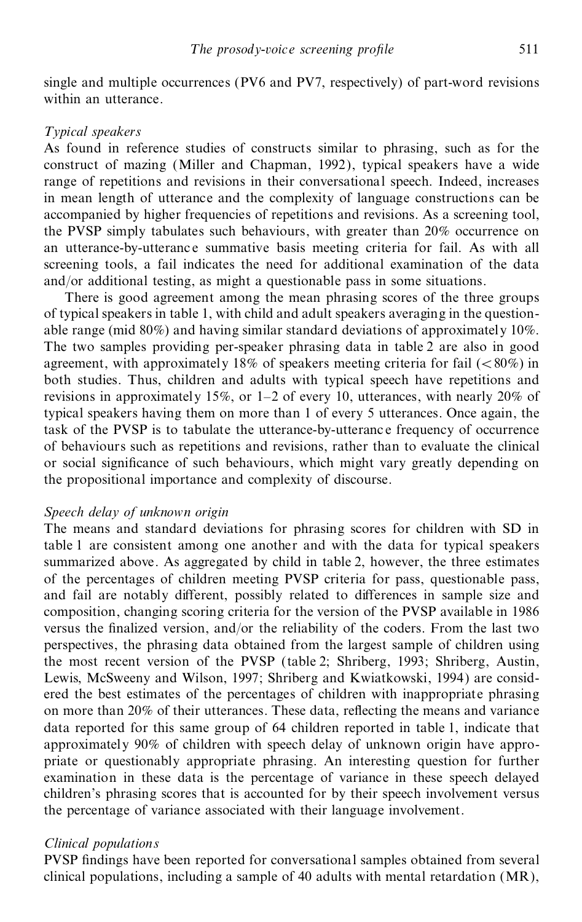single and multiple occurrences (PV6 and PV7, respectively) of part-word revisions within an utterance.

## *Typical speakers*

As found in reference studies of constructs similar to phrasing, such as for the construct of mazing (Miller and Chapman, 1992), typical speakers have a wide range of repetitions and revisions in their conversational speech. Indeed, increases in mean length of utterance and the complexity of language constructions can be accompanied by higher frequencies of repetitions and revisions. As a screening tool, the PVSP simply tabulates such behaviours, with greater than 20% occurrence on an utterance-by-utterance summative basis meeting criteria for fail. As with all screening tools, a fail indicates the need for additional examination of the data and/or additional testing, as might a questionable pass in some situations.

There is good agreement among the mean phrasing scores of the three groups of typical speakers in table 1, with child and adult speakers averaging in the question able range (mid 80%) and having similar standard deviations of approximately 10%. The two samples providing per-speaker phrasing data in table 2 are also in good agreement, with approximately 18% of speakers meeting criteria for fail  $\left( \langle 80\% \rangle \right)$  in both studies. Thus, children and adults with typical speech have repetitions and revisions in approximately 15%, or  $1-2$  of every 10, utterances, with nearly 20% of typical speakers having them on more than 1 of every 5 utterances. Once again, the task of the PVSP is to tabulate the utterance-by-utteranc e frequency of occurrence of behaviours such as repetitions and revisions, rather than to evaluate the clinical or social significance of such behaviours, which might vary greatly depending on the propositional importance and complexity of discourse.

## *Speech delay of unknown origin*

The means and standard deviations for phrasing scores for children with SD in table 1 are consistent among one another and with the data for typical speakers summarized above. As aggregated by child in table 2, however, the three estimates of the percentages of children meeting PVSP criteria for pass, questionable pass, and fail are notably different, possibly related to differences in sample size and composition, changing scoring criteria for the version of the PVSP available in 1986 versus the finalized version, and/or the reliability of the coders. From the last two perspectives, the phrasing data obtained from the largest sample of children using the most recent version of the PVSP (table 2; Shriberg, 1993; Shriberg, Austin, Lewis, McSweeny and Wilson, 1997; Shriberg and Kwiatkowski, 1994) are consid ered the best estimates of the percentages of children with inappropriate phrasing on more than  $20\%$  of their utterances. These data, reflecting the means and variance data reported for this same group of 64 children reported in table 1, indicate that approximately 90% of children with speech delay of unknown origin have appro priate or questionably appropriate phrasing. An interesting question for further examination in these data is the percentage of variance in these speech delayed children's phrasing scores that is accounted for by their speech involvement versus the percentage of variance associated with their language involvement.

## *Clinical populations*

PVSP findings have been reported for conversational samples obtained from several clinical populations, including a sample of 40 adults with mental retardation (MR),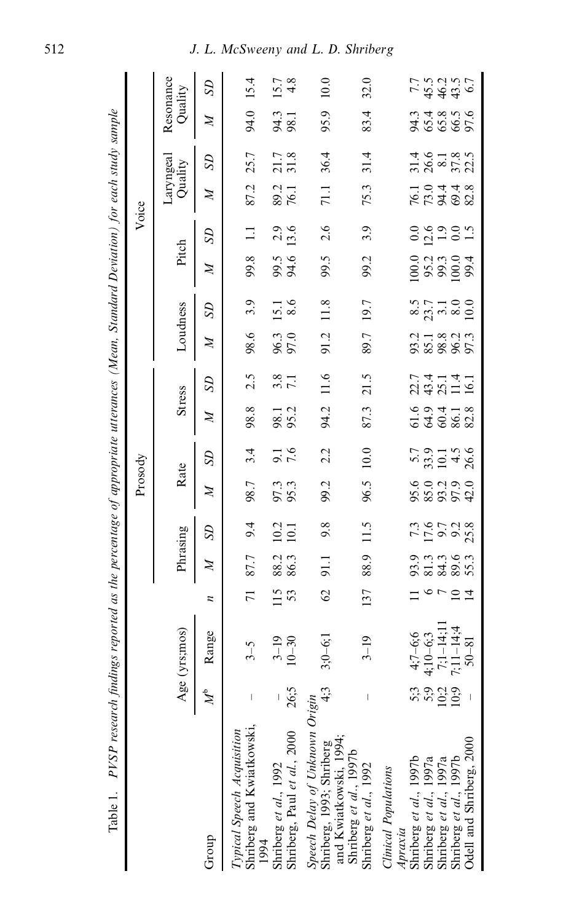| Table 1. PVSP research findings reported as the percentage of appropriate utterances (Mean, Standard Deviation) for each study sample |                      |                                                      |                 |               |                     |                 |                                           |                |                                         |                 |                                             |                       |                  |                      |                                    |                      |                                    |
|---------------------------------------------------------------------------------------------------------------------------------------|----------------------|------------------------------------------------------|-----------------|---------------|---------------------|-----------------|-------------------------------------------|----------------|-----------------------------------------|-----------------|---------------------------------------------|-----------------------|------------------|----------------------|------------------------------------|----------------------|------------------------------------|
|                                                                                                                                       |                      |                                                      |                 |               |                     | Prosody         |                                           |                |                                         |                 |                                             |                       | Voice            |                      |                                    |                      |                                    |
|                                                                                                                                       |                      | Age (yrs;mos)                                        |                 | Phrasing      |                     | Rate            |                                           | <b>Stress</b>  |                                         | Loudness        |                                             | Pitch                 |                  | Laryngeal<br>Quality |                                    | Resonance<br>Quality |                                    |
| Group                                                                                                                                 | $\mathbb{N}^{\circ}$ | Range                                                | z               | $\mathbb{Z}$  | $^{5D}$             | $\mathbb{Z}$    | <b>SD</b>                                 | $\mathbb{Z}$   | $^{5D}$                                 | $\mathbb{N}$    | $^{5D}$                                     | $\mathbb{N}$          | $^{5D}$          | $\mathbb{N}$         | $^{5D}$                            | Z                    | $^{5D}$                            |
| Shriberg and Kwiatkowski,<br>Typical Speech Acquisition<br>1994                                                                       |                      | $3 - 5$                                              | $\overline{71}$ | 87.7          | 9.4                 | 98.7            | 3.4                                       | 98.8           | 2.5                                     | 98.6            | 3.9                                         | 99.8                  | $\Xi$            | 87.2                 | 25.7                               | 94.0                 | 15.4                               |
| Shriberg, Paul et al., 2000<br>Shriberg et al., 1992                                                                                  | 26;5                 | $3-19$<br>10-30                                      | 115             | 88.3<br>86.3  | $\frac{10.2}{10.1}$ | 97.3            | 7.6                                       | 98.1           | 3.8                                     | 96.3<br>97.0    | $\begin{array}{c} 15.1 \\ 8.6 \end{array}$  | 99.5<br>94.6          | $2.9$<br>13.6    | 89.2<br>76.1         | 21.7                               | 94.3<br>98.1         | $15.7$<br>4.8                      |
| Speech Delay of Unknown Origin<br>Shriberg, 1993; Shriberg<br>and Kwiatkowski, 1994;                                                  | 4:3                  | $3;0-6;1$                                            | $\mathcal{O}$   | $\frac{1}{2}$ | 9.8                 | 99.2            | 2.2                                       | 94.2           | 11.6                                    | 91.2            | 11.8                                        | 99.5                  | 2.6              | $\overline{71.1}$    | 36.4                               | 95.9                 | 10.0                               |
| Shriberg et al., 1997b<br>Shriberg et al., 1992                                                                                       |                      | $3 - 19$                                             | 137             | 88.9          | 11.5                | 96.5            | 10.0                                      | 87.3           | 21.5                                    | 89.7            | 19.7                                        | 99.2                  | 3.9              | 75.3                 | 31.4                               | 83.4                 | 32.0                               |
| Clinical Populations<br>Apraxia                                                                                                       |                      |                                                      |                 |               |                     |                 |                                           |                |                                         |                 |                                             |                       |                  |                      |                                    |                      |                                    |
| Shriberg et al., 1997b<br>Shriberg et al., 1997a<br>Shriberg et al., 1997a<br>Shriberg et al., 1997b                                  | n 2 5 5<br>2 7 7 9 9 | $4;7-6;6$<br>$4;10-6;3$<br>$7;1-14;1$<br>$7;11-14;4$ | $\frac{1}{2}$   |               | 7.9528<br>7.9528    | 602300<br>88854 | $5.9$<br>$5.9$ $-1.5$<br>$-3.6$<br>$-1.5$ | 69418<br>53682 | r 4 - 4 -<br>2 4 2 1 - 7<br>2 4 2 1 - 7 | 323825<br>32885 | $8.5$<br>$23.7$<br>$3.1$<br>$8.0$<br>$10.0$ | $0.23808$<br>$0.3308$ | 0.9905<br>0.1101 | 10448<br>20448       | $3146$<br>$3638$<br>$372$<br>$372$ | 36686<br>46686       | 7.5.0.07<br>7.9.9.9.7<br>7.9.9.9.7 |
|                                                                                                                                       |                      |                                                      |                 |               |                     |                 |                                           |                |                                         |                 |                                             |                       |                  |                      |                                    |                      |                                    |
|                                                                                                                                       |                      |                                                      | $\Xi$           |               |                     |                 |                                           |                |                                         |                 |                                             |                       |                  |                      |                                    |                      |                                    |
| Odell and Shriberg, 2000                                                                                                              |                      | $50 - 81$                                            | $\vec{4}$       |               |                     |                 |                                           |                |                                         |                 |                                             |                       |                  |                      |                                    |                      |                                    |
|                                                                                                                                       |                      |                                                      |                 |               |                     |                 |                                           |                |                                         |                 |                                             |                       |                  |                      |                                    |                      |                                    |

 $\dot{\mathbf{r}}$ L Č  $\overline{A}$ f.  $\ddot{ }$ ŕ, નં 4 . DI/CD  $T_0 h l_0$  1

 $\overline{a}$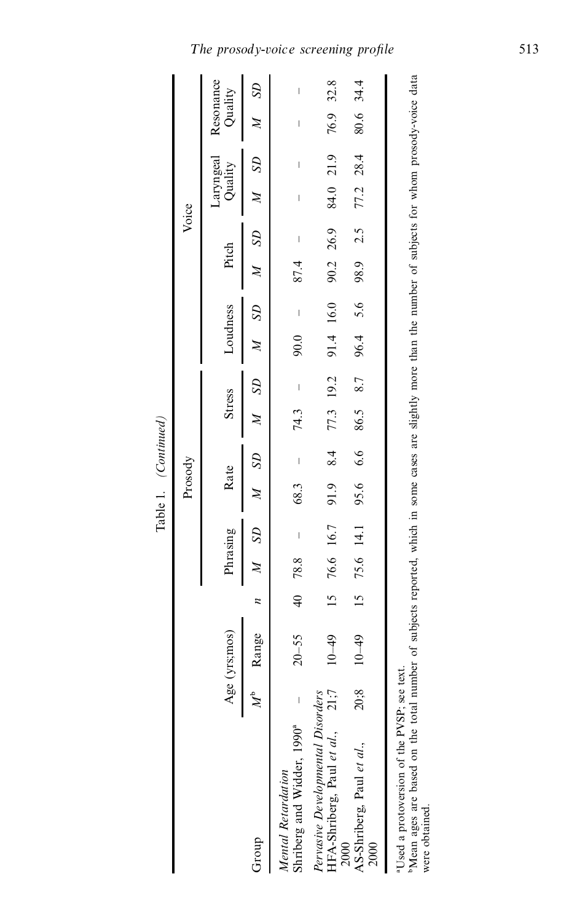|                                                                                                                                                                                                                             |         |               |                      |              |                | Prosody      |                          |               |                                                                                                                                                                                                                                                                                                                                                                                                                |              |                          |           | Voice  |               |           |                      |        |
|-----------------------------------------------------------------------------------------------------------------------------------------------------------------------------------------------------------------------------|---------|---------------|----------------------|--------------|----------------|--------------|--------------------------|---------------|----------------------------------------------------------------------------------------------------------------------------------------------------------------------------------------------------------------------------------------------------------------------------------------------------------------------------------------------------------------------------------------------------------------|--------------|--------------------------|-----------|--------|---------------|-----------|----------------------|--------|
|                                                                                                                                                                                                                             |         | Age (yrs;mos) |                      | Phrasing     |                | Rate         |                          | <b>Stress</b> |                                                                                                                                                                                                                                                                                                                                                                                                                | Loudness     |                          | Pitch     |        | Quality       | Laryngeal | Resonance<br>Quality |        |
| Group                                                                                                                                                                                                                       | $\zeta$ | Range         | z                    | Þ            | S <sub>D</sub> | $\mathbb{Z}$ | $^{5D}$                  |               | S <sub>D</sub>                                                                                                                                                                                                                                                                                                                                                                                                 | $\mathbb{Z}$ | $^{12}$                  |           | A SD   |               | $S\!D$    |                      | $^{5}$ |
| Shriberg and Widder, 1990 <sup>ª</sup><br>Mental Retardation                                                                                                                                                                |         | $20 - 55$     | $\frac{4}{\sqrt{2}}$ | 78.8         | $\mid$         | 68.3         | $\overline{\phantom{a}}$ | 74.3          | $\begin{array}{c} \rule{0pt}{2ex} \rule{0pt}{2ex} \rule{0pt}{2ex} \rule{0pt}{2ex} \rule{0pt}{2ex} \rule{0pt}{2ex} \rule{0pt}{2ex} \rule{0pt}{2ex} \rule{0pt}{2ex} \rule{0pt}{2ex} \rule{0pt}{2ex} \rule{0pt}{2ex} \rule{0pt}{2ex} \rule{0pt}{2ex} \rule{0pt}{2ex} \rule{0pt}{2ex} \rule{0pt}{2ex} \rule{0pt}{2ex} \rule{0pt}{2ex} \rule{0pt}{2ex} \rule{0pt}{2ex} \rule{0pt}{2ex} \rule{0pt}{2ex} \rule{0pt}{$ | 0.06         | $\overline{\phantom{a}}$ | 87.4      | $\mid$ | $\mid$        | $\mid$    | $\mid$               | $\mid$ |
| Pervasive Developmental Disorders<br>$HFA-Shriberg, Paul et al., 21;7$                                                                                                                                                      |         | $10 - 49$     | $\frac{15}{2}$       | 76.6 16.7    |                | 91.9         | 8.4                      | 77.3 19.2     |                                                                                                                                                                                                                                                                                                                                                                                                                | 91.4 16.0    |                          | 90.2 26.9 |        | 84.0 21.9     |           | 76.9 32.8            |        |
| AS-Shriberg, Paul et al.,<br>2000<br>2000                                                                                                                                                                                   | 20;8    | $10 - 49$     |                      | 15 75.6 14.1 |                | 95.6         | 6.6                      | 86.5 8.7      |                                                                                                                                                                                                                                                                                                                                                                                                                | 96.4         | 5.6                      | 98.9 2.5  |        | $77.2$ $28.4$ |           | 80.6 34.4            |        |
| Mean ages are based on the total number of subjects reported, which in some cases are slightly more than the number of subjects for whom prosody-voice data<br>Used a protoversion of the PVSP; see text.<br>were obtained. |         |               |                      |              |                |              |                          |               |                                                                                                                                                                                                                                                                                                                                                                                                                |              |                          |           |        |               |           |                      |        |

Table 1. *(Continued)*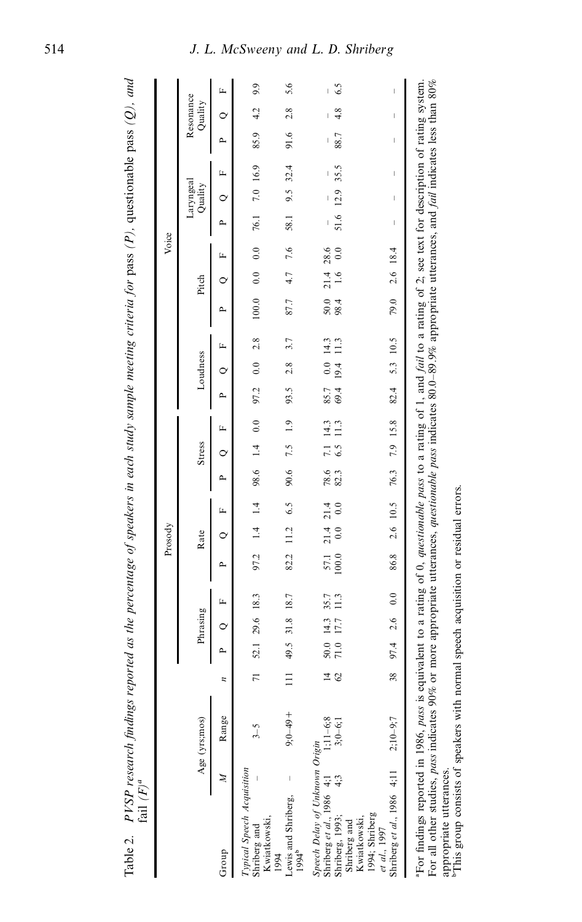|                                                                       |                                |                                                                                                                                                                                                                                                                                                                   |               |                     |                |                                               |               | Prosody          |                 |              |                         |              |              |             |              |                |                 | Voice       |             |                                                                                                                                                                                                                                                                                                                                                                                  |                                                                                                                                                                                                                                                                                                                                                                                  |      |                      |     |
|-----------------------------------------------------------------------|--------------------------------|-------------------------------------------------------------------------------------------------------------------------------------------------------------------------------------------------------------------------------------------------------------------------------------------------------------------|---------------|---------------------|----------------|-----------------------------------------------|---------------|------------------|-----------------|--------------|-------------------------|--------------|--------------|-------------|--------------|----------------|-----------------|-------------|-------------|----------------------------------------------------------------------------------------------------------------------------------------------------------------------------------------------------------------------------------------------------------------------------------------------------------------------------------------------------------------------------------|----------------------------------------------------------------------------------------------------------------------------------------------------------------------------------------------------------------------------------------------------------------------------------------------------------------------------------------------------------------------------------|------|----------------------|-----|
|                                                                       |                                | Age (yrs;mos)                                                                                                                                                                                                                                                                                                     |               |                     | Phrasing       |                                               |               | Rate             |                 |              | Stress                  |              |              | Loudness    |              |                | Pitch           |             |             | Laryngeal<br>Quality                                                                                                                                                                                                                                                                                                                                                             |                                                                                                                                                                                                                                                                                                                                                                                  |      | Resonance<br>Quality |     |
| Group                                                                 | $\mathbb{Z}$                   | Range                                                                                                                                                                                                                                                                                                             | z             | ≏                   | $\circ$        | щ                                             | ρ.,           | $\circ$          | щ               | ≏            | $\circ$                 | щ            | ρ.,          | $\circ$     | щ            | ≏              | $\circ$         | Щ           | $\sim$      | $\circ$                                                                                                                                                                                                                                                                                                                                                                          | L,                                                                                                                                                                                                                                                                                                                                                                               | ≏    | $\circ$              | Ĺ   |
| Kwiatkowski,<br>1994<br>Shriberg and                                  | Typical Speech Acquisition     |                                                                                                                                                                                                                                                                                                                   | 11            |                     | 52.1 29.6 18.3 |                                               | 97.2          | $1.4$ 1.4        |                 | 98.6 1.4     |                         | 0.0          | 97.2         | 0.0         | 2.8          | 100.0          | 0.0             | 0.0         | 76.1        | 7.0 16.9                                                                                                                                                                                                                                                                                                                                                                         |                                                                                                                                                                                                                                                                                                                                                                                  | 85.9 | 4.2                  | 9.9 |
| Lewis and Shriberg,<br>1994 <sup>b</sup>                              |                                | $+6+–0.6$                                                                                                                                                                                                                                                                                                         | $\Xi$         | 49.5                | 31.8           | 18.7                                          | 82.2          | 11.2             | 6.5             | 90.6         | 7.5                     | 1.9          | 93.5         | 2.8         | 3.7          | 87.7           | 4.7             | 7.6         | 58.1        | 9.5                                                                                                                                                                                                                                                                                                                                                                              | 32.4                                                                                                                                                                                                                                                                                                                                                                             | 91.6 | 2.8                  | 5.6 |
| Shriberg et al., 1986 4;1<br>Shriberg, 1993;<br>$4;3$<br>Shriberg and | Speech Delay of Unknown Origin | $1;11-6;8$<br>3;0-6;1                                                                                                                                                                                                                                                                                             | $\frac{4}{3}$ | $\frac{50.0}{71.0}$ | 14.3<br>17.7   | 35.7<br>11.3                                  | 57.1<br>100.0 | $\frac{14}{0.0}$ | $^{21.4}_{0.0}$ | 78.6<br>82.3 | $\overline{7.1}$<br>6.5 | 14.3<br>11.3 | 85.7<br>69.4 | 0.0<br>19.4 | 14.3<br>11.3 | $50.0$<br>98.4 | $\frac{4}{1.6}$ | 28.6<br>0.0 | 51.6        | 12.9                                                                                                                                                                                                                                                                                                                                                                             | 35.5                                                                                                                                                                                                                                                                                                                                                                             | 88.7 | 4.8                  | 6.5 |
| Kwiatkowski,<br>1994; Shriberg<br>et al., 1997                        | Shriberg et al., 1986 4;11     | $2:10-9:7$                                                                                                                                                                                                                                                                                                        | 38            | 97.4                | 2.6            | 0.0                                           | 86.8          |                  | 2.6 10.5        | 76.3         | 7.9 15.8                |              | 82.4         | 5.3 10.5    |              | 79.0           | 2.6 18.4        |             | $\mathsf I$ | $\begin{array}{c} \rule{0pt}{2.5ex} \rule{0pt}{2.5ex} \rule{0pt}{2.5ex} \rule{0pt}{2.5ex} \rule{0pt}{2.5ex} \rule{0pt}{2.5ex} \rule{0pt}{2.5ex} \rule{0pt}{2.5ex} \rule{0pt}{2.5ex} \rule{0pt}{2.5ex} \rule{0pt}{2.5ex} \rule{0pt}{2.5ex} \rule{0pt}{2.5ex} \rule{0pt}{2.5ex} \rule{0pt}{2.5ex} \rule{0pt}{2.5ex} \rule{0pt}{2.5ex} \rule{0pt}{2.5ex} \rule{0pt}{2.5ex} \rule{0$ | $\begin{array}{c} \rule{0pt}{2.5ex} \rule{0pt}{2.5ex} \rule{0pt}{2.5ex} \rule{0pt}{2.5ex} \rule{0pt}{2.5ex} \rule{0pt}{2.5ex} \rule{0pt}{2.5ex} \rule{0pt}{2.5ex} \rule{0pt}{2.5ex} \rule{0pt}{2.5ex} \rule{0pt}{2.5ex} \rule{0pt}{2.5ex} \rule{0pt}{2.5ex} \rule{0pt}{2.5ex} \rule{0pt}{2.5ex} \rule{0pt}{2.5ex} \rule{0pt}{2.5ex} \rule{0pt}{2.5ex} \rule{0pt}{2.5ex} \rule{0$ | I    |                      |     |
|                                                                       |                                | "For findings reported in 1986, pass is equivalent to a rating of 0, questionable pass to a rating of 1, and fall to a rating of 2; see text for description of rating system.<br>For all other studies, pass indicates 90% or mo<br>appropriate utterances.<br><sup>b</sup> This group consists of speakers with |               |                     |                | normal speech acquisition or residual errors. |               |                  |                 |              |                         |              |              |             |              |                |                 |             |             |                                                                                                                                                                                                                                                                                                                                                                                  |                                                                                                                                                                                                                                                                                                                                                                                  |      |                      |     |

appropriate utterances.<br><sup>b</sup>This group consists of speakers with normal speech acquisition or residual errors.

Table 2.  $PVSP$  research findings reported as the percentage of speakers in each study sample meeting criteria for pass (P), questionable pass (Q), and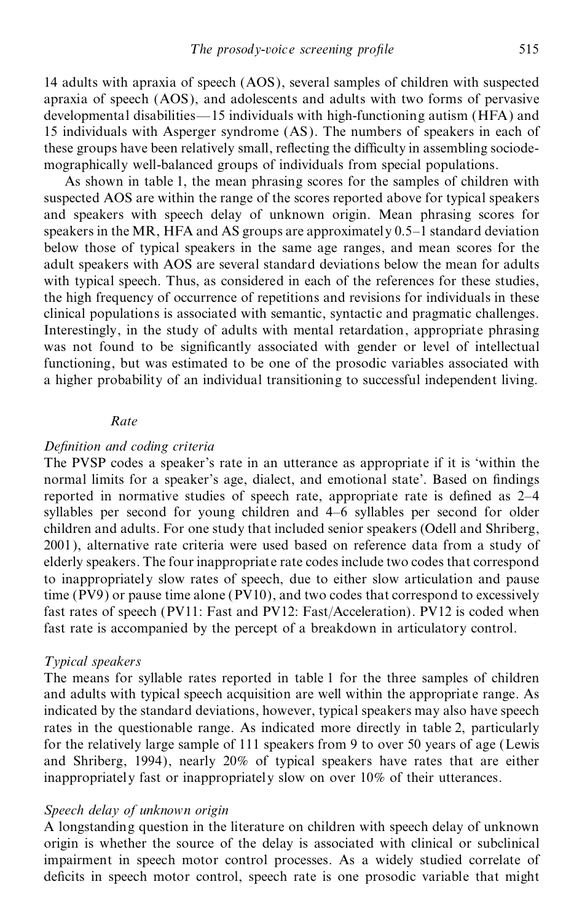14 adults with apraxia of speech (AOS), several samples of children with suspected apraxia of speech (AOS), and adolescents and adults with two forms of pervasive developmental disabilities $-15$  individuals with high-functioning autism (HFA) and 15 individuals with Asperger syndrome (AS). The numbers of speakers in each of these groups have been relatively small, reflecting the difficulty in assembling sociodemographically well-balanced groups of individuals from special populations.

As shown in table 1, the mean phrasing scores for the samples of children with suspected AOS are within the range of the scores reported above for typical speakers and speakers with speech delay of unknown origin. Mean phrasing scores for speakers in the MR, HFA and AS groups are approximately  $0.5-1$  standard deviation below those of typical speakers in the same age ranges, and mean scores for the adult speakers with AOS are several standard deviations below the mean for adults with typical speech. Thus, as considered in each of the references for these studies, the high frequency of occurrence of repetitions and revisions for individuals in these clinical populations is associated with semantic, syntactic and pragmatic challenges. Interestingly, in the study of adults with mental retardation, appropriate phrasing was not found to be significantly associated with gender or level of intellectual functioning, but was estimated to be one of the prosodic variables associated with a higher probability of an individual transitioning to successful independent living.

## *Rate*

## $Definition$  *and coding criteria*

The PVSP codes a speaker's rate in an utterance as appropriate if it is `within the normal limits for a speaker's age, dialect, and emotional state'. Based on findings reported in normative studies of speech rate, appropriate rate is defined as  $2-4$ syllables per second for young children and 4-6 syllables per second for older children and adults. For one study that included senior speakers (Odell and Shriberg, 2001), alternative rate criteria were used based on reference data from a study of elderly speakers. The four inappropriate rate codes include two codes that correspond to inappropriately slow rates of speech, due to either slow articulation and pause time (PV9) or pause time alone (PV10), and two codes that correspond to excessively fast rates of speech (PV11: Fast and PV12: Fast/Acceleration). PV12 is coded when fast rate is accompanied by the percept of a breakdown in articulatory control.

## *Typical speakers*

The means for syllable rates reported in table 1 for the three samples of children and adults with typical speech acquisition are well within the appropriate range. As indicated by the standard deviations, however, typical speakers may also have speech rates in the questionable range. As indicated more directly in table 2, particularly for the relatively large sample of 111 speakers from 9 to over 50 years of age (Lewis and Shriberg, 1994), nearly 20% of typical speakers have rates that are either inappropriately fast or inappropriately slow on over 10% of their utterances.

## *Speech delay of unknown origin*

A longstanding question in the literature on children with speech delay of unknown origin is whether the source of the delay is associated with clinical or subclinical impairment in speech motor control processes. As a widely studied correlate of deficits in speech motor control, speech rate is one prosodic variable that might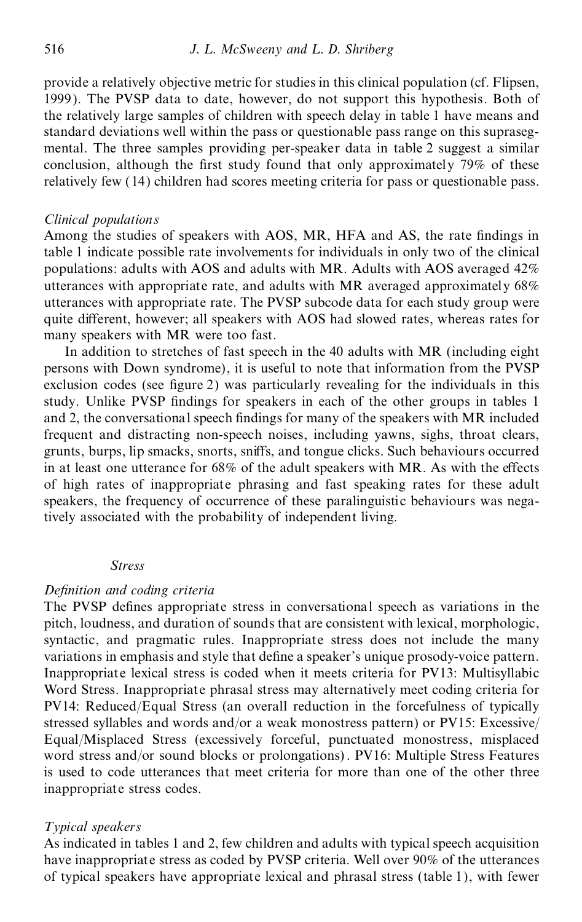provide a relatively objective metric for studies in this clinical population (cf. Flipsen, 1999). The PVSP data to date, however, do not support this hypothesis. Both of the relatively large samples of children with speech delay in table 1 have means and standard deviations well within the pass or questionable pass range on this supraseg mental. The three samples providing per-speaker data in table 2 suggest a similar conclusion, although the first study found that only approximately 79% of these relatively few (14) children had scores meeting criteria for pass or questionable pass.

## *Clinical populations*

Among the studies of speakers with AOS, MR, HFA and AS, the rate findings in table 1 indicate possible rate involvements for individuals in only two of the clinical populations: adults with AOS and adults with MR. Adults with AOS averaged 42% utterances with appropriate rate, and adults with MR averaged approximately 68% utterances with appropriate rate. The PVSP subcode data for each study group were quite different, however; all speakers with AOS had slowed rates, whereas rates for many speakers with MR were too fast.

In addition to stretches of fast speech in the 40 adults with MR (including eight persons with Down syndrome), it is useful to note that information from the PVSP exclusion codes (see figure 2) was particularly revealing for the individuals in this study. Unlike PVSP findings for speakers in each of the other groups in tables 1 and 2, the conversational speech findings for many of the speakers with MR included frequent and distracting non-speech noises, including yawns, sighs, throat clears, grunts, burps, lip smacks, snorts, sniffs, and tongue clicks. Such behaviours occurred in at least one utterance for  $68\%$  of the adult speakers with MR. As with the effects of high rates of inappropriate phrasing and fast speaking rates for these adult speakers, the frequency of occurrence of these paralinguistic behaviours was negatively associated with the probability of independent living.

#### *Stress*

## $Definition$  *and coding criteria*

The PVSP defines appropriate stress in conversational speech as variations in the pitch, loudness, and duration of sounds that are consistent with lexical, morphologic, syntactic, and pragmatic rules. Inappropriate stress does not include the many variations in emphasis and style that define a speaker's unique prosody-voice pattern. Inappropriate lexical stress is coded when it meets criteria for PV13: Multisyllabic Word Stress. Inappropriate phrasal stress may alternatively meet coding criteria for PV14: Reduced/Equal Stress (an overall reduction in the forcefulness of typically stressed syllables and words and/or a weak monostress pattern) or PV15: Excessive/ Equal/Misplaced Stress (excessively forceful, punctuated monostress, misplaced word stress and/or sound blocks or prolongations). PV16: Multiple Stress Features is used to code utterances that meet criteria for more than one of the other three inappropriate stress codes.

## *Typical speakers*

As indicated in tables 1 and 2, few children and adults with typical speech acquisition have inappropriate stress as coded by PVSP criteria. Well over 90% of the utterances of typical speakers have appropriate lexical and phrasal stress (table 1), with fewer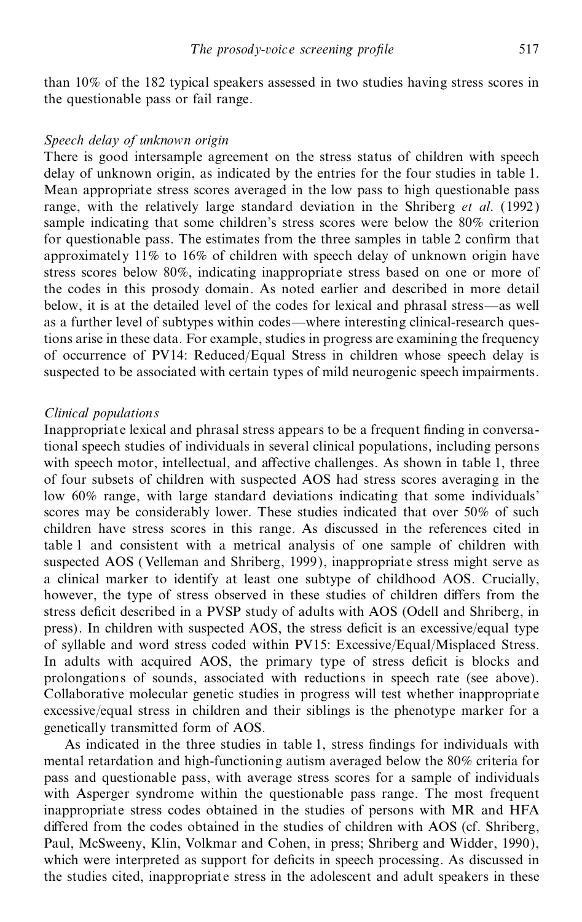than 10% of the 182 typical speakers assessed in two studies having stress scores in the questionable pass or fail range.

## *Speech delay of unknown origin*

There is good intersample agreement on the stress status of children with speech delay of unknown origin, as indicated by the entries for the four studies in table 1. Mean appropriate stress scores averaged in the low pass to high questionable pass range, with the relatively large standard deviation in the Shriberg *et al*. (1992 ) sample indicating that some children's stress scores were below the 80% criterion for questionable pass. The estimates from the three samples in table 2 confirm that approximately 11% to 16% of children with speech delay of unknown origin have stress scores below 80%, indicating inappropriate stress based on one or more of the codes in this prosody domain. As noted earlier and described in more detail below, it is at the detailed level of the codes for lexical and phrasal stress—as well as a further level of subtypes within codes—where interesting clinical-research questions arise in these data. For example, studies in progress are examining the frequency of occurrence of PV14: Reduced/Equal Stress in children whose speech delay is suspected to be associated with certain types of mild neurogenic speech impairments.

## *Clinical populations*

Inappropriate lexical and phrasal stress appears to be a frequent finding in conversational speech studies of individuals in several clinical populations, including persons with speech motor, intellectual, and affective challenges. As shown in table 1, three of four subsets of children with suspected AOS had stress scores averaging in the low 60% range, with large standard deviations indicating that some individuals' scores may be considerably lower. These studies indicated that over 50% of such children have stress scores in this range. As discussed in the references cited in table 1 and consistent with a metrical analysis of one sample of children with suspected AOS (Velleman and Shriberg, 1999), inappropriate stress might serve as a clinical marker to identify at least one subtype of childhood AOS. Crucially, however, the type of stress observed in these studies of children differs from the stress deficit described in a PVSP study of adults with AOS (Odell and Shriberg, in press). In children with suspected AOS, the stress deficit is an excessive/equal type of syllable and word stress coded within PV15: Excessive/Equal/Misplaced Stress. In adults with acquired AOS, the primary type of stress deficit is blocks and prolongations of sounds, associated with reductions in speech rate (see above). Collaborative molecular genetic studies in progress will test whether inappropriate excessive/equal stress in children and their siblings is the phenotype marker for a genetically transmitted form of AOS.

As indicated in the three studies in table 1, stress findings for individuals with mental retardation and high-functioning autism averaged below the 80% criteria for pass and questionable pass, with average stress scores for a sample of individuals with Asperger syndrome within the questionable pass range. The most frequent inappropriate stress codes obtained in the studies of persons with MR and HFA differed from the codes obtained in the studies of children with AOS (cf. Shriberg, Paul, McSweeny, Klin, Volkmar and Cohen, in press; Shriberg and Widder, 1990), which were interpreted as support for deficits in speech processing. As discussed in the studies cited, inappropriate stress in the adolescent and adult speakers in these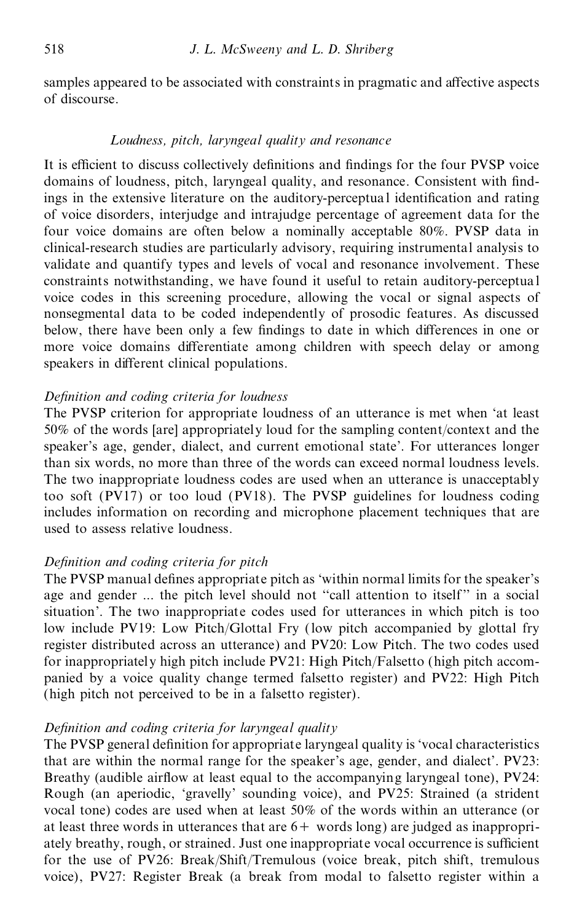samples appeared to be associated with constraints in pragmatic and affective aspects of discourse.

## *Loudness, pitch, laryngeal quality and resonance*

It is efficient to discuss collectively definitions and findings for the four PVSP voice domains of loudness, pitch, laryngeal quality, and resonance. Consistent with findings in the extensive literature on the auditory-perceptual identification and rating of voice disorders, interjudge and intrajudge percentage of agreement data for the four voice domains are often below a nominally acceptable 80%. PVSP data in clinical-research studies are particularly advisory, requiring instrumental analysis to validate and quantify types and levels of vocal and resonance involvement. These constraints notwithstanding, we have found it useful to retain auditory-perceptua l voice codes in this screening procedure, allowing the vocal or signal aspects of nonsegmental data to be coded independently of prosodic features. As discussed below, there have been only a few findings to date in which differences in one or more voice domains differentiate among children with speech delay or among speakers in different clinical populations.

## $Definition$  *and coding criteria for loudness*

The PVSP criterion for appropriate loudness of an utterance is met when `at least 50% of the words [are] appropriately loud for the sampling content/context and the speaker's age, gender, dialect, and current emotional state'. For utterances longer than six words, no more than three of the words can exceed normal loudness levels. The two inappropriate loudness codes are used when an utterance is unacceptably too soft (PV17) or too loud (PV18). The PVSP guidelines for loudness coding includes information on recording and microphone placement techniques that are used to assess relative loudness.

## $Definition$  *and coding criteria for pitch*

The PVSP manual defines appropriate pitch as 'within normal limits for the speaker's age and gender ... the pitch level should not "call attention to itself" in a social situation'. The two inappropriate codes used for utterances in which pitch is too low include PV19: Low Pitch/Glottal Fry (low pitch accompanied by glottal fry register distributed across an utterance) and PV20: Low Pitch. The two codes used for inappropriately high pitch include PV21: High Pitch/Falsetto (high pitch accom panied by a voice quality change termed falsetto register) and PV22: High Pitch (high pitch not perceived to be in a falsetto register).

## *Definition and coding criteria for laryngeal quality*

The PVSP general definition for appropriate laryngeal quality is 'vocal characteristics that are within the normal range for the speaker's age, gender, and dialect'. PV23: Breathy (audible airflow at least equal to the accompanying laryngeal tone), PV24: Rough (an aperiodic, `gravelly' sounding voice), and PV25: Strained (a strident vocal tone) codes are used when at least 50% of the words within an utterance (or at least three words in utterances that are  $6+$  words long) are judged as inappropriately breathy, rough, or strained. Just one inappropriate vocal occurrence is sufficient for the use of PV26: Break/Shift/Tremulous (voice break, pitch shift, tremulous voice), PV27: Register Break (a break from modal to falsetto register within a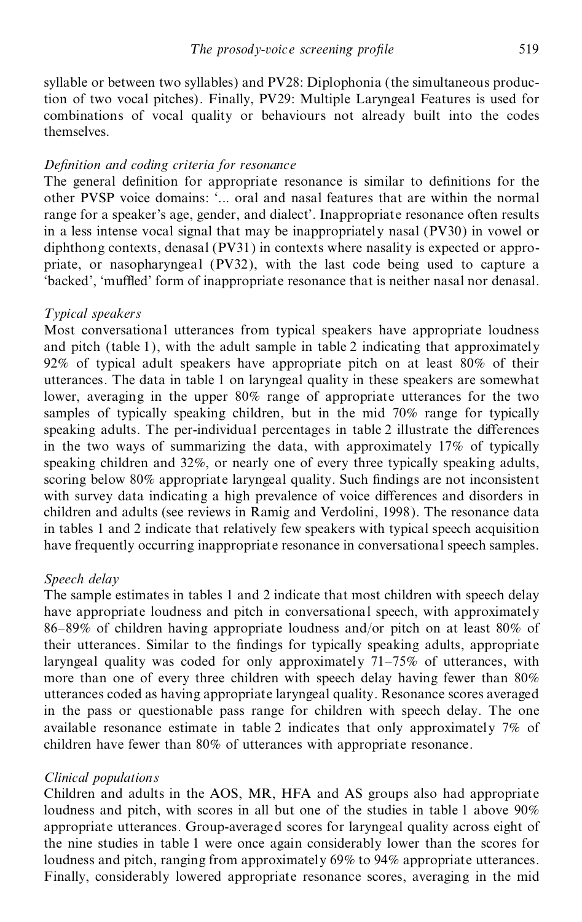syllable or between two syllables) and PV28: Diplophonia (the simultaneous production of two vocal pitches). Finally, PV29: Multiple Laryngeal Features is used for combinations of vocal quality or behaviours not already built into the codes themselves.

## $Definition$  *and coding criteria for resonance*

The general definition for appropriate resonance is similar to definitions for the other PVSP voice domains: `... oral and nasal features that are within the normal range for a speaker's age, gender, and dialect'. Inappropriate resonance often results in a less intense vocal signal that may be inappropriately nasal (PV30) in vowel or diphthong contexts, denasal (PV31) in contexts where nasality is expected or appro priate, or nasopharyngeal (PV32), with the last code being used to capture a 'backed', 'muffled' form of inappropriate resonance that is neither nasal nor denasal.

## *Typical speakers*

Most conversational utterances from typical speakers have appropriate loudness and pitch (table 1), with the adult sample in table 2 indicating that approximately 92% of typical adult speakers have appropriate pitch on at least 80% of their utterances. The data in table 1 on laryngeal quality in these speakers are somewhat lower, averaging in the upper 80% range of appropriate utterances for the two samples of typically speaking children, but in the mid 70% range for typically speaking adults. The per-individual percentages in table 2 illustrate the differences in the two ways of summarizing the data, with approximately 17% of typically speaking children and 32%, or nearly one of every three typically speaking adults, scoring below  $80\%$  appropriate laryngeal quality. Such findings are not inconsistent with survey data indicating a high prevalence of voice differences and disorders in children and adults (see reviews in Ramig and Verdolini, 1998). The resonance data in tables 1 and 2 indicate that relatively few speakers with typical speech acquisition have frequently occurring inappropriate resonance in conversational speech samples.

## *Speech delay*

The sample estimates in tables 1 and 2 indicate that most children with speech delay have appropriate loudness and pitch in conversational speech, with approximately 86±89% of children having appropriate loudness and/or pitch on at least 80% of their utterances. Similar to the findings for typically speaking adults, appropriate laryngeal quality was coded for only approximately  $71–75%$  of utterances, with more than one of every three children with speech delay having fewer than 80% utterances coded as having appropriate laryngeal quality. Resonance scores averaged in the pass or questionable pass range for children with speech delay. The one available resonance estimate in table 2 indicates that only approximately 7% of children have fewer than 80% of utterances with appropriate resonance.

## *Clinical populations*

Children and adults in the AOS, MR, HFA and AS groups also had appropriate loudness and pitch, with scores in all but one of the studies in table 1 above 90% appropriate utterances. Group-averaged scores for laryngeal quality across eight of the nine studies in table 1 were once again considerably lower than the scores for loudness and pitch, ranging from approximately 69% to 94% appropriate utterances. Finally, considerably lowered appropriate resonance scores, averaging in the mid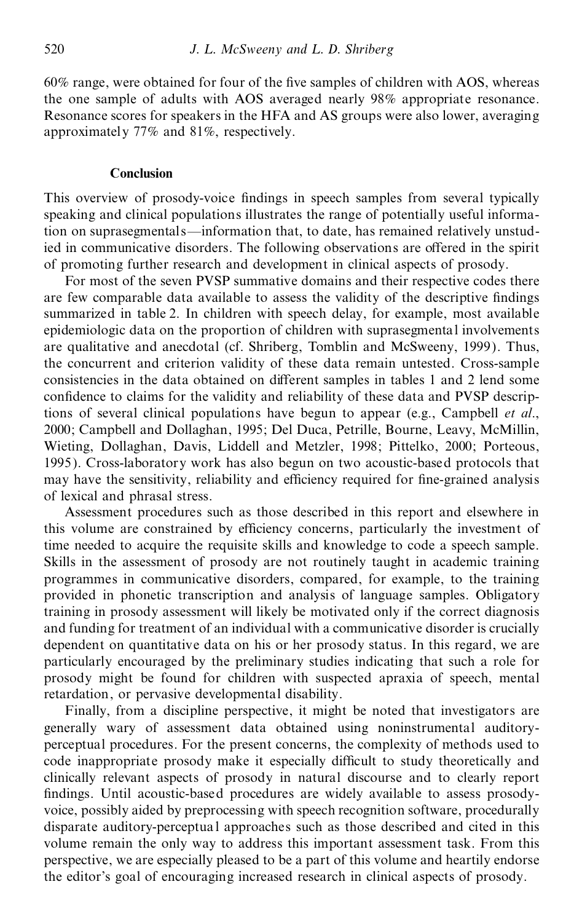$60\%$  range, were obtained for four of the five samples of children with AOS, whereas the one sample of adults with AOS averaged nearly 98% appropriate resonance. Resonance scores for speakers in the HFA and AS groups were also lower, averaging approximately 77% and 81%, respectively.

## **Conclusion**

This overview of prosody-voice findings in speech samples from several typically speaking and clinical populations illustrates the range of potentially useful information on suprasegmentals—information that, to date, has remained relatively unstudied in communicative disorders. The following observations are offered in the spirit of promoting further research and development in clinical aspects of prosody.

For most of the seven PVSP summative domains and their respective codes there are few comparable data available to assess the validity of the descriptive findings summarized in table 2. In children with speech delay, for example, most available epidemiologic data on the proportion of children with suprasegmental involvements are qualitative and anecdotal (cf. Shriberg, Tomblin and McSweeny, 1999). Thus, the concurrent and criterion validity of these data remain untested. Cross-sample consistencies in the data obtained on different samples in tables 1 and 2 lend some confidence to claims for the validity and reliability of these data and PVSP descriptions of several clinical populations have begun to appear (e.g., Campbell *et al*., 2000; Campbell and Dollaghan, 1995; Del Duca, Petrille, Bourne, Leavy, McMillin, Wieting, Dollaghan, Davis, Liddell and Metzler, 1998; Pittelko, 2000; Porteous, 1995). Cross-laboratory work has also begun on two acoustic-based protocols that may have the sensitivity, reliability and efficiency required for fine-grained analysis of lexical and phrasal stress.

Assessment procedures such as those described in this report and elsewhere in this volume are constrained by efficiency concerns, particularly the investment of time needed to acquire the requisite skills and knowledge to code a speech sample. Skills in the assessment of prosody are not routinely taught in academic training programmes in communicative disorders, compared, for example, to the training provided in phonetic transcription and analysis of language samples. Obligatory training in prosody assessment will likely be motivated only if the correct diagnosis and funding for treatment of an individual with a communicative disorder is crucially dependent on quantitative data on his or her prosody status. In this regard, we are particularly encouraged by the preliminary studies indicating that such a role for prosody might be found for children with suspected apraxia of speech, mental retardation, or pervasive developmental disability.

Finally, from a discipline perspective, it might be noted that investigators are generally wary of assessment data obtained using noninstrumental auditory perceptual procedures. For the present concerns, the complexity of methods used to code inappropriate prosody make it especially difficult to study theoretically and clinically relevant aspects of prosody in natural discourse and to clearly report findings. Until acoustic-based procedures are widely available to assess prosodyvoice, possibly aided by preprocessing with speech recognition software, procedurally disparate auditory-perceptua l approaches such as those described and cited in this volume remain the only way to address this important assessment task. From this perspective, we are especially pleased to be a part of this volume and heartily endorse the editor's goal of encouraging increased research in clinical aspects of prosody.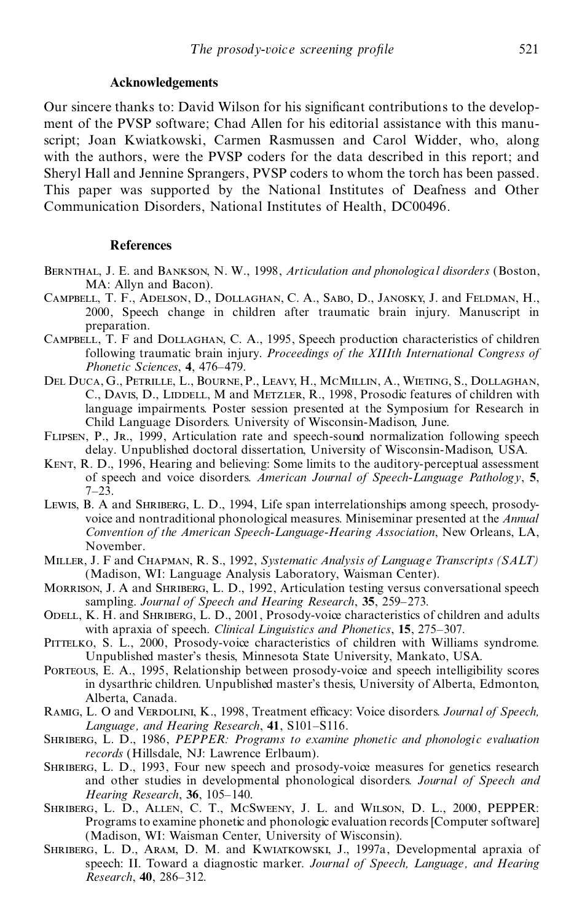## **Acknowledgements**

Our sincere thanks to: David Wilson for his significant contributions to the development of the PVSP software; Chad Allen for his editorial assistance with this manuscript; Joan Kwiatkowski, Carmen Rasmussen and Carol Widder, who, along with the authors, were the PVSP coders for the data described in this report; and Sheryl Hall and Jennine Sprangers, PVSP coders to whom the torch has been passed. This paper was supported by the National Institutes of Deafness and Other Communication Disorders, National Institutes of Health, DC00496.

## **References**

- Bernthal, J. E. and Bankson, N. W., 1998, *Articulation and phonological disorders* (Boston, MA: Allyn and Bacon).
- Campbell, T. F., Adelson, D., Dollaghan, C. A., Sabo, D., Janosky, J. and Feldman, H., 2000, Speech change in children after traumatic brain injury. Manuscript in preparation.
- Campbell, T. F and Dollaghan, C. A., 1995, Speech production characteristics of children following traumatic brain injury. *Proceedings of the XIIIth International Congress of Phonetic Sciences*, 4, 476-479.
- Del Duca, G., Petrille, L., Bourne,P., Leavy, H., McMillin, A., Wieting, S., Dollaghan, C., Davis, D., Lindell, M and Metzler, R., 1998, Prosodic features of children with language impairments. Poster session presented at the Symposium for Research in Child Language Disorders. University of Wisconsin-Madison, June.
- Flipsen, P., Jr., 1999, Articulation rate and speech-sound normalization following speech delay. Unpublished doctoral dissertation, University of Wisconsin-Madison, USA.
- KENT, R. D., 1996, Hearing and believing: Some limits to the auditory-perceptual assessment of speech and voice disorders. *American Journal of Speech-Language Pathology*, **5**,  $7 - 23.$
- Lewis, B. A and Shriberg, L. D., 1994, Life span interrelationships among speech, prosody voice and nontraditional phonological measures. Miniseminar presented at the *Annual Convention of the American Speech-Language-Hearing Association*, New Orleans, LA, November.
- Miller, J. F and Chapman, R. S., 1992, *Systematic Analysis of Language Transcripts (SALT)* (Madison, WI: Language Analysis Laboratory, Waisman Center).
- Morrison, J. A and Shriberg, L. D., 1992, Articulation testing versus conversational speech sampling. *Journal of Speech and Hearing Research*, 35, 259–273.
- ODELL, K. H. and SHRIBERG, L. D., 2001, Prosody-voice characteristics of children and adults with apraxia of speech. *Clinical Linguistics and Phonetics*, 15, 275–307.
- PITTELKO, S. L., 2000, Prosody-voice characteristics of children with Williams syndrome. Unpublished master's thesis, Minnesota State University, Mankato, USA.
- Porteous, E. A., 1995, Relationship between prosody-voice and speech intelligibility scores in dysarthric children. Unpublished master's thesis, University of Alberta, Edmonton, Alberta, Canada.
- RAMIG, L. O and VERDOLINI, K., 1998, Treatment efficacy: Voice disorders. *Journal of Speech*, *Language, and Hearing Research*, 41, S101-S116.
- Shriberg, L. D., 1986, *PEPPER: Programs to examine phonetic and phonologic evaluation records* (Hillsdale, NJ: Lawrence Erlbaum).
- SHRIBERG, L. D., 1993, Four new speech and prosody-voice measures for genetics research and other studies in developmental phonological disorders. *Journal of Speech and Hearing Research*, 36, 105-140.
- Shriberg, L. D., Allen, C. T., McSweeny, J. L. and Wilson, D. L., 2000, PEPPER: Programs to examine phonetic and phonologic evaluation records [Computer software] (Madison, WI: Waisman Center, University of Wisconsin).
- Shriberg, L. D., Aram, D. M. and Kwiatkowski, J., 1997a, Developmental apraxia of speech: II. Toward a diagnostic marker. *Journal of Speech, Language, and Hearing Research*, 40, 286-312.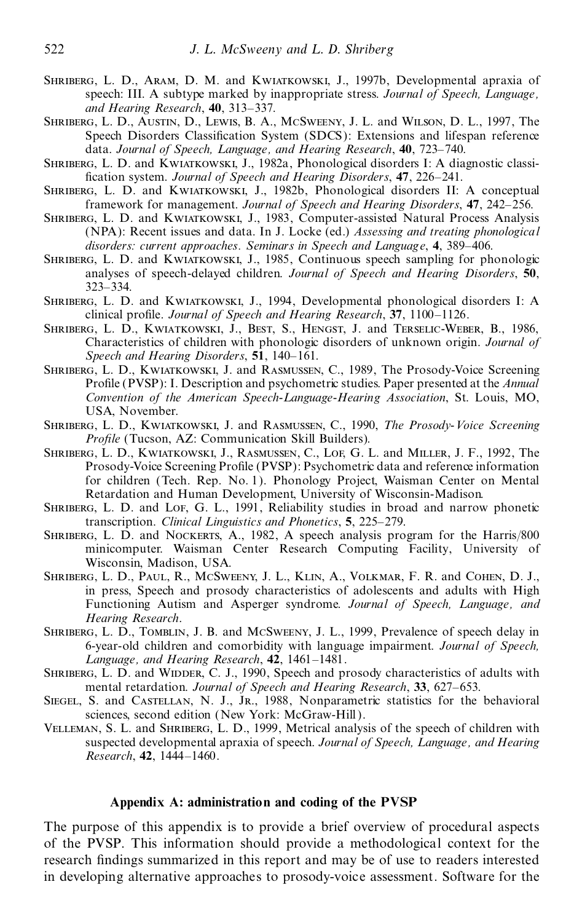- Shriberg, L. D., Aram, D. M. and Kwiatkowski, J., 1997b, Developmental apraxia of speech: III. A subtype marked by inappropriate stress. *Journal of Speech, Language, and Hearing Research*, 40, 313-337.
- Shriberg, L. D., Austin, D., Lewis, B. A., McSweeny, J. L. and Wilson, D. L., 1997, The Speech Disorders Classification System (SDCS): Extensions and lifespan reference data. *Journal of Speech, Language, and Hearing Research*, **40**, 723±740.
- Shriberg, L. D. and Kwiatkowski, J., 1982a, Phonological disorders I: A diagnostic classi fication system. *Journal of Speech and Hearing Disorders*, 47, 226-241.
- Shriberg, L. D. and Kwiatkowski, J., 1982b, Phonological disorders II: A conceptual framework for management. *Journal of Speech and Hearing Disorders*, **47**, 242±256.
- Shriberg, L. D. and Kwiatkowski, J., 1983, Computer-assisted Natural Process Analysis (NPA): Recent issues and data. In J. Locke (ed.) *Assessing and treating phonological disorders: current approaches. Seminars in Speech and Language, 4, 389–406.*
- Shriberg, L. D. and Kwiatkowski, J., 1985, Continuous speech sampling for phonologic analyses of speech-delayed children. *Journal of Speech and Hearing Disorders*, **50**, 323±334.
- Shriberg, L. D. and Kwiatkowski, J., 1994, Developmental phonological disorders I: A clinical pro®le. *Journal of Speech and Hearing Research*, **37**, 1100±1126.
- Shriberg, L. D., Kwiatkowski, J., Best, S., Hengst, J. and Terselic-Weber, B., 1986, Characteristics of children with phonologic disorders of unknown origin. *Journal of Speech and Hearing Disorders*, 51, 140-161.
- Shriberg, L. D., Kwiatkowski, J. and Rasmussen, C., 1989, The Prosody-Voice Screening Profile (PVSP): I. Description and psychometric studies. Paper presented at the *Annual Convention of the American Speech-Language-Hearing Association*, St. Louis, MO, USA, November.
- Shriberg, L. D., Kwiatkowski, J. and Rasmussen, C., 1990, *The Prosody-Voice Screening Profile* (Tucson, AZ: Communication Skill Builders).
- Shriberg, L. D., Kwiatkowski, J., Rasmussen, C., Lof, G. L. and Miller, J. F., 1992, The Prosody-Voice Screening Profile (PVSP): Psychometric data and reference information for children (Tech. Rep. No. 1). Phonology Project, Waisman Center on Mental Retardation and Human Development, University of Wisconsin-Madison.
- SHRIBERG, L. D. and Lof, G. L., 1991, Reliability studies in broad and narrow phonetic transcription. *Clinical Linguistics and Phonetics*, 5, 225–279.
- SHRIBERG, L. D. and NOCKERTS, A., 1982, A speech analysis program for the Harris/800 minicomputer. Waisman Center Research Computing Facility, University of Wisconsin, Madison, USA.
- Shriberg, L. D., Paul, R., McSweeny, J. L., Klin, A., Volkmar, F. R. and Cohen, D. J., in press, Speech and prosody characteristics of adolescents and adults with High Functioning Autism and Asperger syndrome. *Journal of Speech, Language, and Hearing Research*.
- Shriberg, L. D., Tomblin, J. B. and McSweeny, J. L., 1999, Prevalence of speech delay in 6-year-old children and comorbidity with language impairment. *Journal of Speech, Language, and Hearing Research*, **42**, 1461-1481.
- SHRIBERG, L. D. and WIDDER, C. J., 1990, Speech and prosody characteristics of adults with mental retardation. *Journal of Speech and Hearing Research*, 33, 627–653.
- SIEGEL, S. and CASTELLAN, N. J., JR., 1988, Nonparametric statistics for the behavioral sciences, second edition (New York: McGraw-Hill).
- Velleman, S. L. and Shriberg, L. D., 1999, Metrical analysis of the speech of children with suspected developmental apraxia of speech. *Journal of Speech, Language, and Hearing Research*, **42**, 1444-1460.

## **Appendix A: administration and coding of the PVSP**

The purpose of this appendix is to provide a brief overview of procedural aspects of the PVSP. This information should provide a methodological context for the research findings summarized in this report and may be of use to readers interested in developing alternative approaches to prosody-voice assessment. Software for the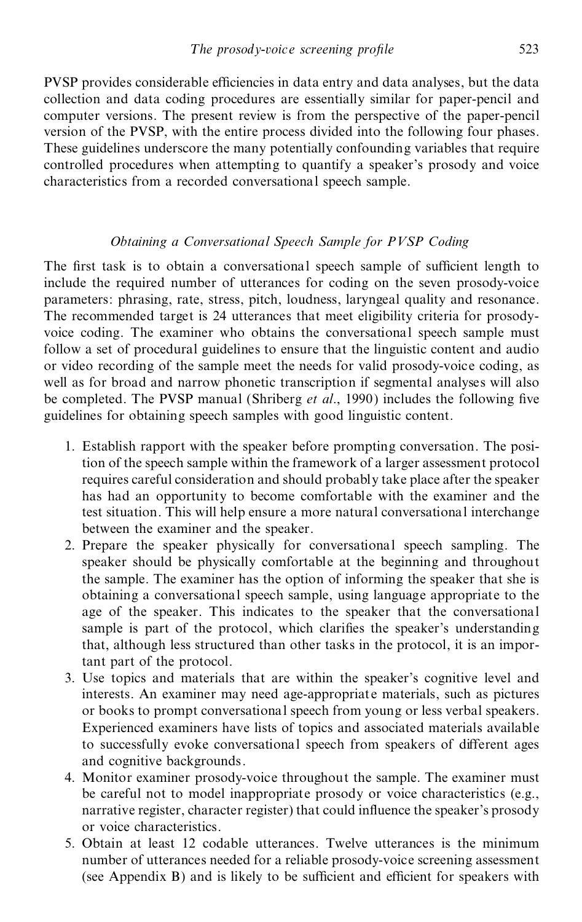PVSP provides considerable efficiencies in data entry and data analyses, but the data collection and data coding procedures are essentially similar for paper-pencil and computer versions. The present review isfrom the perspective of the paper-pencil version of the PVSP, with the entire process divided into the following four phases. These guidelines underscore the many potentially confounding variables that require controlled procedures when attempting to quantify a speaker's prosody and voice characteristics from a recorded conversational speech sample.

## *Obtaining a Conversational Speech Sample for PVSP Coding*

The first task is to obtain a conversational speech sample of sufficient length to include the required number of utterances for coding on the seven prosody-voice parameters: phrasing, rate, stress, pitch, loudness, laryngeal quality and resonance. The recommended target is 24 utterances that meet eligibility criteria for prosody voice coding. The examiner who obtains the conversational speech sample must follow a set of procedural guidelines to ensure that the linguistic content and audio or video recording of the sample meet the needs for valid prosody-voice coding, as well as for broad and narrow phonetic transcription if segmental analyses will also be completed. The PVSP manual (Shriberg *et al.*, 1990) includes the following five guidelines for obtaining speech samples with good linguistic content.

- 1. Establish rapport with the speaker before prompting conversation. The position of the speech sample within the framework of a larger assessment protocol requires careful consideration and should probably take place after the speaker has had an opportunity to become comfortable with the examiner and the test situation. This will help ensure a more natural conversational interchange between the examiner and the speaker.
- 2. Prepare the speaker physically for conversational speech sampling. The speaker should be physically comfortable at the beginning and throughout the sample. The examiner has the option of informing the speaker that she is obtaining a conversational speech sample, using language appropriate to the age of the speaker. This indicates to the speaker that the conversational sample is part of the protocol, which clarifies the speaker's understanding that, although less structured than other tasks in the protocol, it is an important part of the protocol.
- 3. Use topics and materials that are within the speaker's cognitive level and interests. An examiner may need age-appropriate materials, such as pictures or books to prompt conversational speech from young or less verbal speakers. Experienced examiners have lists of topics and associated materials available to successfully evoke conversational speech from speakers of different ages and cognitive backgrounds.
- 4. Monitor examiner prosody-voice throughout the sample. The examiner must be careful not to model inappropriate prosody or voice characteristics (e.g., narrative register, character register) that could influence the speaker's prosody or voice characteristics.
- 5. Obtain at least 12 codable utterances. Twelve utterances is the minimum number of utterances needed for a reliable prosody-voice screening assessment (see Appendix  $B$ ) and is likely to be sufficient and efficient for speakers with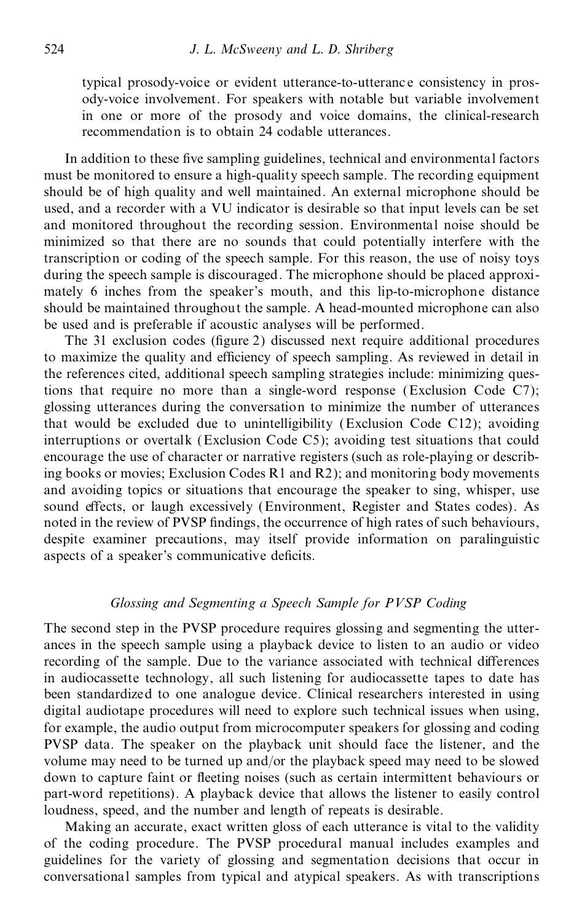typical prosody-voice or evident utterance-to-utteranc e consistency in pros ody-voice involvement. For speakers with notable but variable involvement in one or more of the prosody and voice domains, the clinical-research recommendation is to obtain 24 codable utterances.

In addition to these five sampling guidelines, technical and environmental factors must be monitored to ensure a high-quality speech sample. The recording equipment should be of high quality and well maintained. An external microphone should be used, and a recorder with a VU indicator is desirable so that input levels can be set and monitored throughout the recording session. Environmental noise should be minimized so that there are no sounds that could potentially interfere with the transcription or coding of the speech sample. For this reason, the use of noisy toys during the speech sample is discouraged. The microphone should be placed approxi mately 6 inches from the speaker's mouth, and this lip-to-microphone distance should be maintained throughout the sample. A head-mounted microphone can also be used and is preferable if acoustic analyses will be performed.

The 31 exclusion codes (figure 2) discussed next require additional procedures to maximize the quality and efficiency of speech sampling. As reviewed in detail in the references cited, additional speech sampling strategies include: minimizing questions that require no more than a single-word response (Exclusion Code C7); glossing utterances during the conversation to minimize the number of utterances that would be excluded due to unintelligibility (Exclusion Code C12); avoiding interruptions or overtalk (Exclusion Code C5); avoiding test situations that could encourage the use of character or narrative registers (such as role-playing or describing books or movies; Exclusion Codes R1 and R2); and monitoring body movements and avoiding topics or situations that encourage the speaker to sing, whisper, use sound effects, or laugh excessively (Environment, Register and States codes). As noted in the review of PVSP findings, the occurrence of high rates of such behaviours, despite examiner precautions, may itself provide information on paralinguistic aspects of a speaker's communicative deficits.

## *Glossing and Segmenting a Speech Sample for PVSP Coding*

The second step in the PVSP procedure requires glossing and segmenting the utter ances in the speech sample using a playback device to listen to an audio or video recording of the sample. Due to the variance associated with technical differences in audiocassette technology, all such listening for audiocassette tapes to date has been standardized to one analogue device. Clinical researchers interested in using digital audiotape procedures will need to explore such technical issues when using, for example, the audio output from microcomputer speakers for glossing and coding PVSP data. The speaker on the playback unit should face the listener, and the volume may need to be turned up and/or the playback speed may need to be slowed down to capture faint or fleeting noises (such as certain intermittent behaviours or part-word repetitions). A playback device that allows the listener to easily control loudness, speed, and the number and length of repeats is desirable.

Making an accurate, exact written gloss of each utterance is vital to the validity of the coding procedure. The PVSP procedural manual includes examples and guidelines for the variety of glossing and segmentation decisions that occur in conversational samples from typical and atypical speakers. As with transcriptions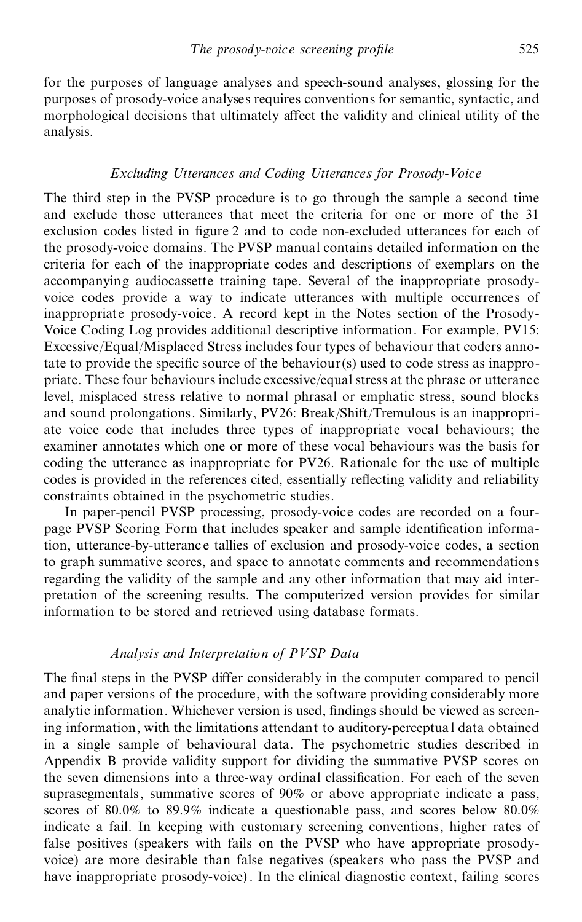for the purposes of language analyses and speech-sound analyses, glossing for the purposes of prosody-voice analyses requires conventions for semantic, syntactic, and morphological decisions that ultimately affect the validity and clinical utility of the analysis.

## *Excluding Utterances and Coding Utterances for Prosody-Voice*

The third step in the PVSP procedure is to go through the sample a second time and exclude those utterances that meet the criteria for one or more of the 31 exclusion codes listed in figure 2 and to code non-excluded utterances for each of the prosody-voice domains. The PVSP manual contains detailed information on the criteria for each of the inappropriate codes and descriptions of exemplars on the accompanying audiocassette training tape. Several of the inappropriate prosody voice codes provide a way to indicate utterances with multiple occurrences of inappropriate prosody-voice. A record kept in the Notes section of the Prosody- Voice Coding Log provides additional descriptive information. For example, PV15: Excessive/Equal/Misplaced Stress includes four types of behaviour that coders annotate to provide the specific source of the behaviour(s) used to code stress as inappropriate. These four behaviours include excessive/equal stress at the phrase or utterance level, misplaced stress relative to normal phrasal or emphatic stress, sound blocks and sound prolongations. Similarly, PV26: Break/Shift/Tremulous is an inappropri ate voice code that includes three types of inappropriate vocal behaviours; the examiner annotates which one or more of these vocal behaviours was the basis for coding the utterance as inappropriate for PV26. Rationale for the use of multiple codes is provided in the references cited, essentially reflecting validity and reliability constraints obtained in the psychometric studies.

In paper-pencil PVSP processing, prosody-voice codes are recorded on a four page PVSP Scoring Form that includes speaker and sample identification information, utterance-by-utteranc e tallies of exclusion and prosody-voice codes, a section to graph summative scores, and space to annotate comments and recommendations regarding the validity of the sample and any other information that may aid inter pretation of the screening results. The computerized version provides for similar information to be stored and retrieved using database formats.

## *Analysis and Interpretation of PVSP Data*

The final steps in the PVSP differ considerably in the computer compared to pencil and paper versions of the procedure, with the software providing considerably more analytic information. Whichever version is used, findings should be viewed as screening information, with the limitations attendant to auditory-perceptua l data obtained in a single sample of behavioural data. The psychometric studies described in Appendix B provide validity support for dividing the summative PVSP scores on the seven dimensions into a three-way ordinal classification. For each of the seven suprasegmentals, summative scores of 90% orabove appropriate indicate a pass, scores of 80.0% to 89.9% indicate a questionable pass, and scores below 80.0% indicate a fail. In keeping with customary screening conventions, higher rates of false positives (speakers with fails on the PVSP who have appropriate prosody voice) are more desirable than false negatives (speakers who pass the PVSP and have inappropriate prosody-voice). In the clinical diagnostic context, failing scores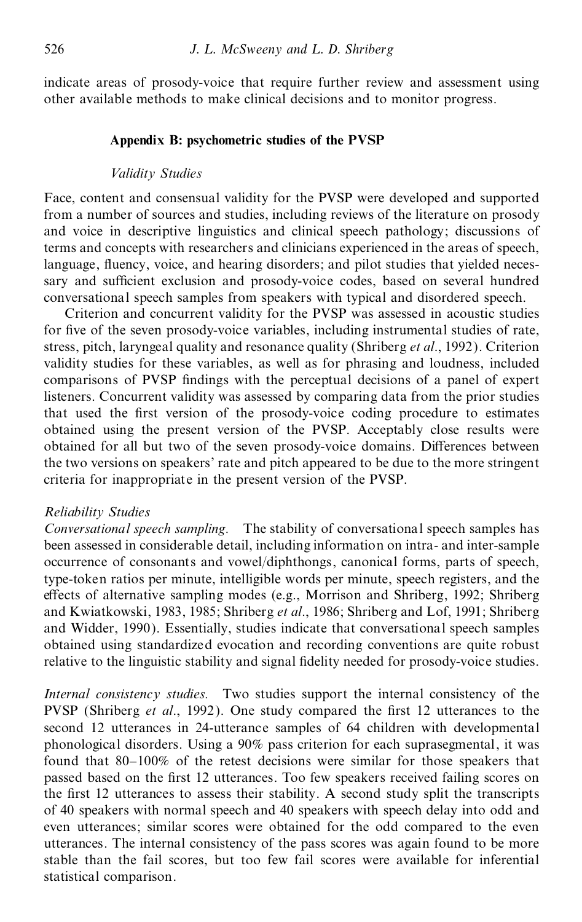indicate areas of prosody-voice that require further review and assessment using other available methods to make clinical decisions and to monitor progress.

### **Appendix B: psychometric studies of the PVSP**

## *Validity Studies*

Face, content and consensual validity for the PVSP were developed and supported from a number of sources and studies, including reviews of the literature on prosody and voice in descriptive linguistics and clinical speech pathology; discussions of terms and concepts with researchers and clinicians experienced in the areas of speech, language, fluency, voice, and hearing disorders; and pilot studies that yielded necessary and sufficient exclusion and prosody-voice codes, based on several hundred conversational speech samples from speakers with typical and disordered speech.

Criterion and concurrent validity for the PVSP was assessed in acoustic studies for five of the seven prosody-voice variables, including instrumental studies of rate, stress, pitch, laryngeal quality and resonance quality (Shriberg *et al*., 1992). Criterion validity studies for these variables, as well as for phrasing and loudness, included comparisons of PVSP findings with the perceptual decisions of a panel of expert listeners. Concurrent validity was assessed by comparing data from the prior studies that used the first version of the prosody-voice coding procedure to estimates obtained using the present version of the PVSP. Acceptably close results were obtained for all but two of the seven prosody-voice domains. Differences between the two versions on speakers' rate and pitch appeared to be due to the more stringent criteria for inappropriate in the present version of the PVSP.

## *Reliability Studies*

*Conversational speech sampling.* The stability of conversational speech samples has been assessed in considerable detail, including information on intra- and inter-sample occurrence of consonants and vowel/diphthongs, canonical forms, parts of speech, type-token ratios per minute, intelligible words per minute, speech registers, and the effects of alternative sampling modes (e.g., Morrison and Shriberg, 1992; Shriberg and Kwiatkowski, 1983, 1985; Shriberg *et al*., 1986; Shriberg and Lof, 1991; Shriberg and Widder, 1990). Essentially, studies indicate that conversational speech samples obtained using standardized evocation and recording conventions are quite robust relative to the linguistic stability and signal fidelity needed for prosody-voice studies.

*Internal consistency studies.* Two studies support the internal consistency of the PVSP (Shriberg *et al.*, 1992). One study compared the first 12 utterances to the second 12 utterances in 24-utterance samples of 64 children with developmental phonological disorders. Using a 90% pass criterion for each suprasegmental, it was found that  $80-100\%$  of the retest decisions were similar for those speakers that passed based on the first 12 utterances. Too few speakers received failing scores on the first 12 utterances to assess their stability. A second study split the transcripts of 40 speakers with normal speech and 40 speakers with speech delay into odd and even utterances; similar scores were obtained for the odd compared to the even utterances. The internal consistency of the pass scores was again found to be more stable than the fail scores, but too few fail scores were available for inferential statistical comparison.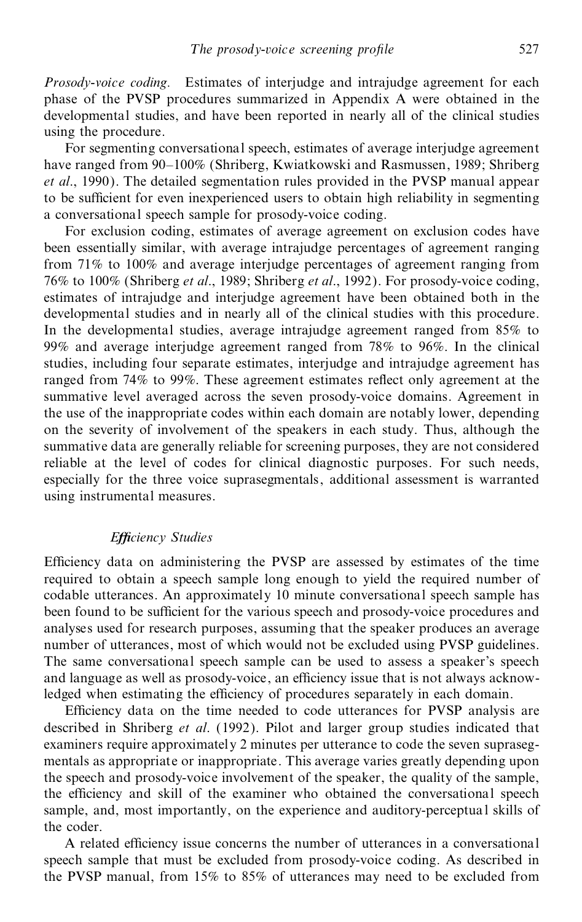*Prosody-voice coding.* Estimates of interjudge and intrajudge agreement for each phase of the PVSP procedures summarized in Appendix A were obtained in the developmental studies, and have been reported in nearly all of the clinical studies using the procedure.

For segmenting conversational speech, estimates of average interjudge agreement have ranged from 90–100% (Shriberg, Kwiatkowski and Rasmussen, 1989; Shriberg *et al*., 1990). The detailed segmentation rules provided in the PVSP manual appear to be sufficient for even inexperienced users to obtain high reliability in segmenting a conversational speech sample for prosody-voice coding.

For exclusion coding, estimates of average agreement on exclusion codes have been essentially similar, with average intrajudge percentages of agreement ranging from 71% to 100% and average interjudge percentages of agreement ranging from 76% to 100% (Shriberg *et al*., 1989; Shriberg *et al*., 1992). For prosody-voice coding, estimates of intrajudge and interjudge agreement have been obtained both in the developmental studies and in nearly all of the clinical studies with this procedure. In the developmental studies, average intrajudge agreement ranged from 85% to 99% and average interjudge agreement ranged from 78% to 96%. In the clinical studies, including four separate estimates, interjudge and intrajudge agreement has ranged from 74% to 99%. These agreement estimates reflect only agreement at the summative level averaged across the seven prosody-voice domains. Agreement in the use of the inappropriate codes within each domain are notably lower, depending on the severity of involvement of the speakers in each study. Thus, although the summative data are generally reliable for screening purposes, they are not considered reliable at the level of codes for clinical diagnostic purposes. For such needs, especially for the three voice suprasegmentals, additional assessment is warranted using instrumental measures.

## *E ciency Studies*

Efficiency data on administering the PVSP are assessed by estimates of the time required to obtain a speech sample long enough to yield the required number of codable utterances. An approximately 10 minute conversational speech sample has been found to be sufficient for the various speech and prosody-voice procedures and analyses used for research purposes, assuming that the speaker produces an average number of utterances, most of which would not be excluded using PVSP guidelines. The same conversational speech sample can be used to assess a speaker's speech and language as well as prosody-voice, an efficiency issue that is not always acknowledged when estimating the efficiency of procedures separately in each domain.

Efficiency data on the time needed to code utterances for PVSP analysis are described in Shriberg *et al*. (1992). Pilot and larger group studies indicated that examiners require approximately 2 minutes per utterance to code the seven supraseg mentals as appropriate or inappropriate. This average varies greatly depending upon the speech and prosody-voice involvement of the speaker, the quality of the sample, the efficiency and skill of the examiner who obtained the conversational speech sample, and, most importantly, on the experience and auditory-perceptua l skills of the coder.

A related efficiency issue concerns the number of utterances in a conversational speech sample that must be excluded from prosody-voice coding. As described in the PVSP manual, from 15% to 85% of utterances may need to be excluded from